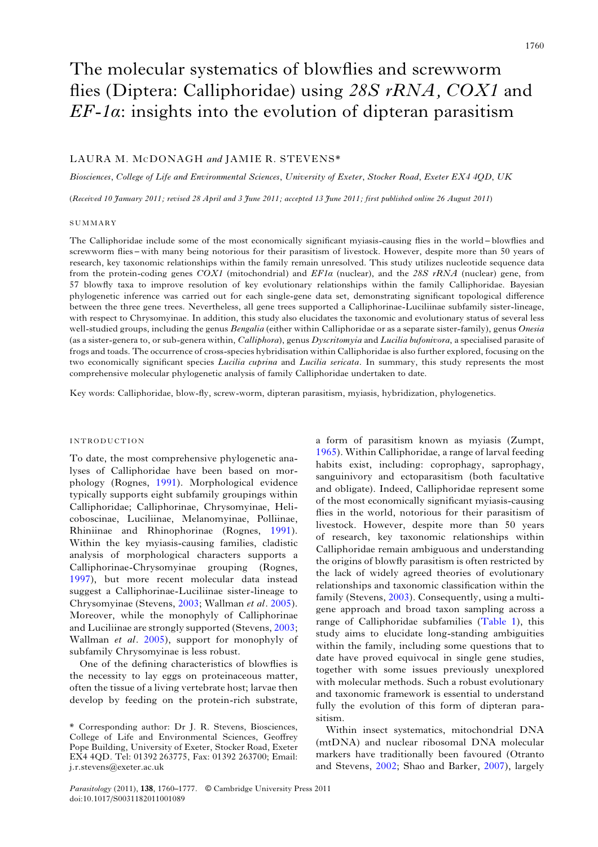# The molecular systematics of blowflies and screwworm flies (Diptera: Calliphoridae) using 28S rRNA, COX1 and  $EF$ -1 $\alpha$ : insights into the evolution of dipteran parasitism

# LAURA M. MCDONAGH and JAMIE R. STEVENS\*

Biosciences, College of Life and Environmental Sciences, University of Exeter, Stocker Road, Exeter EX4 4QD, UK

(Received 10 January 2011; revised 28 April and 3 June 2011; accepted 13 June 2011; first published online 26 August 2011)

## **SUMMARY**

The Calliphoridae include some of the most economically significant myiasis-causing flies in the world – blowflies and screwworm flies – with many being notorious for their parasitism of livestock. However, despite more than 50 years of research, key taxonomic relationships within the family remain unresolved. This study utilizes nucleotide sequence data from the protein-coding genes  $COX1$  (mitochondrial) and  $EFA$  (nuclear), and the 28S rRNA (nuclear) gene, from 57 blowfly taxa to improve resolution of key evolutionary relationships within the family Calliphoridae. Bayesian phylogenetic inference was carried out for each single-gene data set, demonstrating significant topological difference between the three gene trees. Nevertheless, all gene trees supported a Calliphorinae-Luciliinae subfamily sister-lineage, with respect to Chrysomyinae. In addition, this study also elucidates the taxonomic and evolutionary status of several less well-studied groups, including the genus Bengalia (either within Calliphoridae or as a separate sister-family), genus Onesia (as a sister-genera to, or sub-genera within, Calliphora), genus Dyscritomyia and Lucilia bufonivora, a specialised parasite of frogs and toads. The occurrence of cross-species hybridisation within Calliphoridae is also further explored, focusing on the two economically significant species Lucilia cuprina and Lucilia sericata. In summary, this study represents the most comprehensive molecular phylogenetic analysis of family Calliphoridae undertaken to date.

Key words: Calliphoridae, blow-fly, screw-worm, dipteran parasitism, myiasis, hybridization, phylogenetics.

## INTRODUCTION

To date, the most comprehensive phylogenetic analyses of Calliphoridae have been based on morphology (Rognes, [1991\)](#page-16-0). Morphological evidence typically supports eight subfamily groupings within Calliphoridae; Calliphorinae, Chrysomyinae, Helicoboscinae, Luciliinae, Melanomyinae, Polliinae, Rhiniinae and Rhinophorinae (Rognes, [1991\)](#page-16-0). Within the key myiasis-causing families, cladistic analysis of morphological characters supports a Calliphorinae-Chrysomyinae grouping (Rognes, [1997](#page-16-0)), but more recent molecular data instead suggest a Calliphorinae-Luciliinae sister-lineage to Chrysomyinae (Stevens, [2003](#page-16-0); Wallman et al. [2005\)](#page-16-0). Moreover, while the monophyly of Calliphorinae and Luciliinae are strongly supported (Stevens, [2003](#page-16-0); Wallman et al. [2005\)](#page-16-0), support for monophyly of subfamily Chrysomyinae is less robust.

One of the defining characteristics of blowflies is the necessity to lay eggs on proteinaceous matter, often the tissue of a living vertebrate host; larvae then develop by feeding on the protein-rich substrate,

a form of parasitism known as myiasis (Zumpt, [1965](#page-17-0)). Within Calliphoridae, a range of larval feeding habits exist, including: coprophagy, saprophagy, sanguinivory and ectoparasitism (both facultative and obligate). Indeed, Calliphoridae represent some of the most economically significant myiasis-causing flies in the world, notorious for their parasitism of livestock. However, despite more than 50 years of research, key taxonomic relationships within Calliphoridae remain ambiguous and understanding the origins of blowfly parasitism is often restricted by the lack of widely agreed theories of evolutionary relationships and taxonomic classification within the family (Stevens, [2003](#page-16-0)). Consequently, using a multigene approach and broad taxon sampling across a range of Calliphoridae subfamilies [\(Table 1\)](#page-1-0), this study aims to elucidate long-standing ambiguities within the family, including some questions that to date have proved equivocal in single gene studies, together with some issues previously unexplored with molecular methods. Such a robust evolutionary and taxonomic framework is essential to understand fully the evolution of this form of dipteran parasitism.

Within insect systematics, mitochondrial DNA (mtDNA) and nuclear ribosomal DNA molecular markers have traditionally been favoured (Otranto and Stevens, [2002;](#page-15-0) Shao and Barker, [2007](#page-16-0)), largely

<sup>\*</sup> Corresponding author: Dr J. R. Stevens, Biosciences, College of Life and Environmental Sciences, Geoffrey Pope Building, University of Exeter, Stocker Road, Exeter EX4 4QD. Tel: 01392 263775, Fax: 01392 263700; Email: j.r.stevens@exeter.ac.uk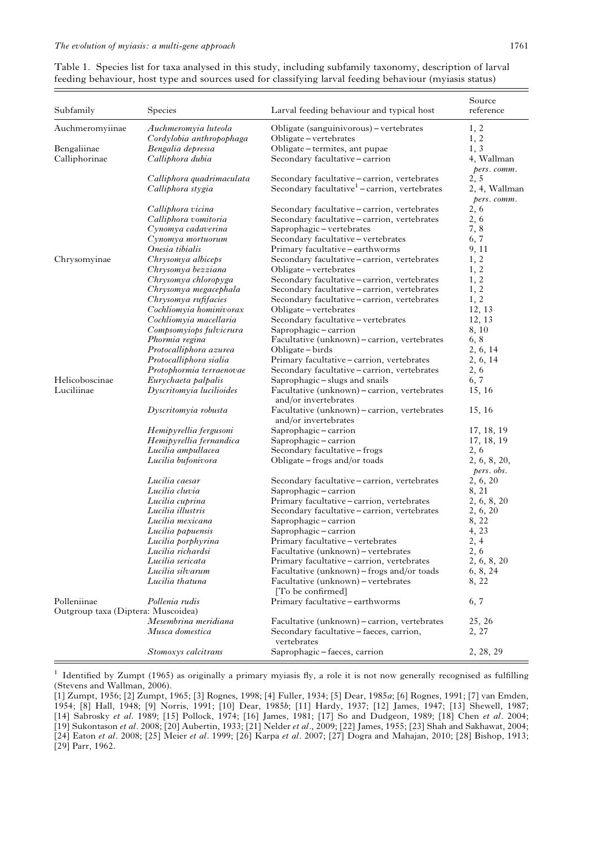<span id="page-1-0"></span>Table 1. Species list for taxa analysed in this study, including subfamily taxonomy, description of larval feeding behaviour, host type and sources used for classifying larval feeding behaviour (myiasis status)

| Subfamily                          | Species                   | Larval feeding behaviour and typical host                            | Source<br>reference       |
|------------------------------------|---------------------------|----------------------------------------------------------------------|---------------------------|
| Auchmeromyiinae                    | Auchmeromyia luteola      | Obligate (sanguinivorous) – vertebrates                              | 1, 2                      |
|                                    | Cordylobia anthropophaga  | Obligate-vertebrates                                                 | 1, 2                      |
| Bengaliinae                        | Bengalia depressa         | Obligate-termites, ant pupae                                         | 1, 3                      |
| Calliphorinae                      | Calliphora dubia          | Secondary facultative - carrion                                      | 4, Wallman<br>pers. comm. |
|                                    | Calliphora quadrimaculata | Secondary facultative - carrion, vertebrates                         | 2, 5                      |
|                                    | Calliphora stygia         | Secondary facultative <sup>1</sup> – carrion, vertebrates            | 2, 4, Wallman             |
|                                    | Calliphora vicina         | Secondary facultative - carrion, vertebrates                         | pers. comm.<br>2, 6       |
|                                    | Calliphora vomitoria      | Secondary facultative - carrion, vertebrates                         | 2,6                       |
|                                    | Cynomya cadaverina        | Saprophagic-vertebrates                                              | 7,8                       |
|                                    | Cynomya mortuorum         | Secondary facultative - vertebrates                                  | 6, 7                      |
|                                    | Onesia tibialis           | Primary facultative - earthworms                                     | 9, 11                     |
| Chrysomyinae                       | Chrysomya albiceps        | Secondary facultative - carrion, vertebrates                         | 1, 2                      |
|                                    | Chrysomya bezziana        | Obligate – vertebrates                                               | 1, 2                      |
|                                    | Chrysomya chloropyga      | Secondary facultative - carrion, vertebrates                         | 1, 2                      |
|                                    | Chrysomya megacephala     | Secondary facultative - carrion, vertebrates                         | 1, 2                      |
|                                    | Chrysomya rufifacies      | Secondary facultative - carrion, vertebrates                         | 1, 2                      |
|                                    | Cochliomyia hominivorax   | Obligate-vertebrates                                                 | 12, 13                    |
|                                    | Cochliomyia macellaria    | Secondary facultative - vertebrates                                  | 12, 13                    |
|                                    | Compsomyiops fulvicrura   | Saprophagic-carrion                                                  | 8, 10                     |
|                                    | Phormia regina            | Facultative (unknown) - carrion, vertebrates                         | 6, 8                      |
|                                    | Protocalliphora azurea    | Obligate – birds                                                     | 2, 6, 14                  |
|                                    | Protocalliphora sialia    |                                                                      | 2, 6, 14                  |
|                                    |                           | Primary facultative - carrion, vertebrates                           |                           |
| Helicoboscinae                     | Protophormia terraenovae  | Secondary facultative - carrion, vertebrates                         | 2, 6                      |
| Luciliinae                         | Eurychaeta palpalis       | Saprophagic-slugs and snails                                         | 6, 7                      |
|                                    | Dyscritomyia lucilioides  | Facultative (unknown) - carrion, vertebrates<br>and/or invertebrates | 15, 16                    |
|                                    | Dyscritomyia robusta      | Facultative (unknown) – carrion, vertebrates<br>and/or invertebrates | 15, 16                    |
|                                    | Hemipyrellia fergusoni    | Saprophagic-carrion                                                  | 17, 18, 19                |
|                                    | Hemipyrellia fernandica   | Saprophagic-carrion                                                  | 17, 18, 19                |
|                                    | Lucilia ampullacea        | Secondary facultative-frogs                                          | 2, 6                      |
|                                    | Lucilia bufonivora        | Obligate – frogs and/or toads                                        | 2, 6, 8, 20,              |
|                                    |                           |                                                                      | pers. obs.                |
|                                    | Lucilia caesar            | Secondary facultative - carrion, vertebrates                         | 2, 6, 20                  |
|                                    | Lucilia cluvia            | Saprophagic-carrion                                                  | 8, 21                     |
|                                    | Lucilia cuprina           | Primary facultative - carrion, vertebrates                           | 2, 6, 8, 20               |
|                                    | Lucilia illustris         | Secondary facultative - carrion, vertebrates                         | 2, 6, 20                  |
|                                    | Lucilia mexicana          | Saprophagic-carrion                                                  | 8, 22                     |
|                                    | Lucilia papuensis         | Saprophagic-carrion                                                  | 4, 23                     |
|                                    | Lucilia porphyrina        | Primary facultative – vertebrates                                    | 2, 4                      |
|                                    | Lucilia richardsi         | Facultative (unknown) – vertebrates                                  | 2, 6                      |
|                                    | Lucilia sericata          | Primary facultative – carrion, vertebrates                           | 2, 6, 8, 20               |
|                                    | Lucilia silvarum          | Facultative (unknown) – frogs and/or toads                           | 6, 8, 24                  |
|                                    | Lucilia thatuna           | Facultative (unknown) – vertebrates<br>[To be confirmed]             | 8, 22                     |
| Polleniinae                        | Pollenia rudis            | Primary facultative - earthworms                                     | 6, 7                      |
| Outgroup taxa (Diptera: Muscoidea) |                           |                                                                      |                           |
|                                    | Mesembrina meridiana      | Facultative (unknown) - carrion, vertebrates                         | 25, 26                    |
|                                    | Musca domestica           | Secondary facultative - faeces, carrion,<br>vertebrates              | 2, 27                     |
|                                    | Stomoxys calcitrans       | Saprophagic-faeces, carrion                                          | 2, 28, 29                 |

 $1$  Identified by Zumpt (1965) as originally a primary myiasis fly, a role it is not now generally recognised as fulfilling (Stevens and Wallman, 2006).

[1] Zumpt, 1956; [2] Zumpt, 1965; [3] Rognes, 1998; [4] Fuller, 1934; [5] Dear, 1985a; [6] Rognes, 1991; [7] van Emden, 1954; [8] Hall, 1948; [9] Norris, 1991; [10] Dear, 1985b; [11] Hardy, 1937; [12] James, 1947; [13] Shewell, 1987; [14] Sabrosky et al. 1989; [15] Pollock, 1974; [16] James, 1981; [17] So and Dudgeon, 1989; [18] Chen et al. 2004; [19] Sukontason et al. 2008; [20] Aubertin, 1933; [21] Nelder et al., 2009; [22] James, 1955; [23] Shah and Sakhawat, 2004; [24] Eaton et al. 2008; [25] Meier et al. 1999; [26] Karpa et al. 2007; [27] Dogra and Mahajan, 2010; [28] Bishop, 1913; [29] Parr, 1962.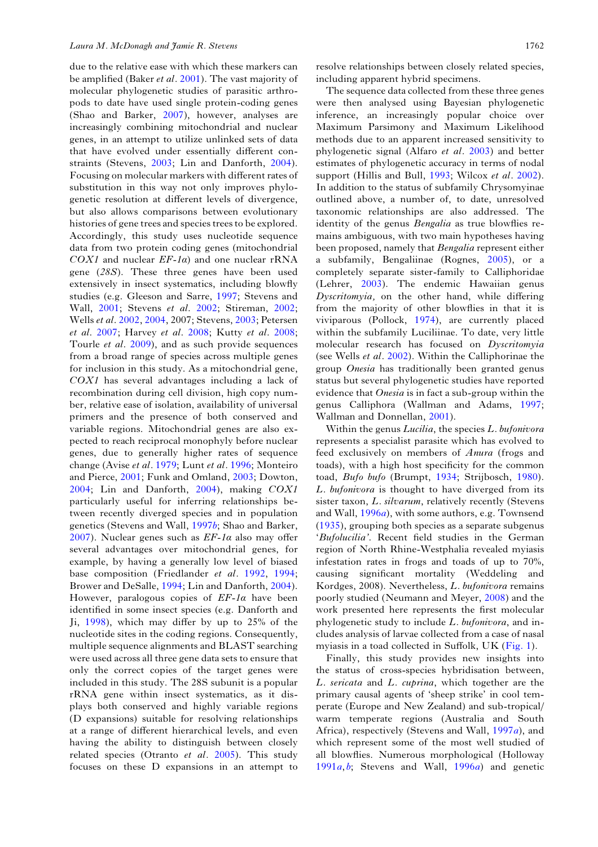due to the relative ease with which these markers can be amplified (Baker et al. [2001\)](#page-14-0). The vast majority of molecular phylogenetic studies of parasitic arthropods to date have used single protein-coding genes (Shao and Barker, [2007\)](#page-16-0), however, analyses are increasingly combining mitochondrial and nuclear genes, in an attempt to utilize unlinked sets of data that have evolved under essentially different constraints (Stevens, [2003](#page-16-0); Lin and Danforth, [2004\)](#page-15-0). Focusing on molecular markers with different rates of substitution in this way not only improves phylogenetic resolution at different levels of divergence, but also allows comparisons between evolutionary histories of gene trees and species trees to be explored. Accordingly, this study uses nucleotide sequence data from two protein coding genes (mitochondrial COX1 and nuclear  $EF$ -1a) and one nuclear rRNA gene (28S). These three genes have been used extensively in insect systematics, including blowfly studies (e.g. Gleeson and Sarre, [1997](#page-15-0); Stevens and Wall, [2001;](#page-16-0) Stevens et al. [2002](#page-16-0); Stireman, [2002](#page-16-0); Wells et al. [2002,](#page-16-0) [2004,](#page-16-0) 2007; Stevens, [2003;](#page-16-0) Petersen et al. [2007;](#page-15-0) Harvey et al. [2008;](#page-15-0) Kutty et al. [2008](#page-15-0); Tourle et al. [2009](#page-16-0)), and as such provide sequences from a broad range of species across multiple genes for inclusion in this study. As a mitochondrial gene, COX1 has several advantages including a lack of recombination during cell division, high copy number, relative ease of isolation, availability of universal primers and the presence of both conserved and variable regions. Mitochondrial genes are also expected to reach reciprocal monophyly before nuclear genes, due to generally higher rates of sequence change (Avise et al. [1979;](#page-14-0) Lunt et al. [1996;](#page-15-0) Monteiro and Pierce, [2001](#page-15-0); Funk and Omland, [2003](#page-15-0); Dowton, [2004](#page-14-0); Lin and Danforth, [2004\)](#page-15-0), making COX1 particularly useful for inferring relationships between recently diverged species and in population genetics (Stevens and Wall, [1997](#page-16-0)b; Shao and Barker, [2007](#page-16-0)). Nuclear genes such as  $EF$ -1 $\alpha$  also may offer several advantages over mitochondrial genes, for example, by having a generally low level of biased base composition (Friedlander et al. [1992,](#page-15-0) [1994](#page-15-0); Brower and DeSalle, [1994](#page-14-0); Lin and Danforth, [2004\)](#page-15-0). However, paralogous copies of  $EF$ -1 $\alpha$  have been identified in some insect species (e.g. Danforth and Ji, [1998](#page-14-0)), which may differ by up to 25% of the nucleotide sites in the coding regions. Consequently, multiple sequence alignments and BLAST searching were used across all three gene data sets to ensure that only the correct copies of the target genes were included in this study. The 28S subunit is a popular rRNA gene within insect systematics, as it displays both conserved and highly variable regions (D expansions) suitable for resolving relationships at a range of different hierarchical levels, and even having the ability to distinguish between closely related species (Otranto et al. [2005\)](#page-15-0). This study focuses on these D expansions in an attempt to resolve relationships between closely related species, including apparent hybrid specimens.

The sequence data collected from these three genes were then analysed using Bayesian phylogenetic inference, an increasingly popular choice over Maximum Parsimony and Maximum Likelihood methods due to an apparent increased sensitivity to phylogenetic signal (Alfaro et al. [2003\)](#page-14-0) and better estimates of phylogenetic accuracy in terms of nodal support (Hillis and Bull, [1993](#page-15-0); Wilcox et al. [2002](#page-17-0)). In addition to the status of subfamily Chrysomyinae outlined above, a number of, to date, unresolved taxonomic relationships are also addressed. The identity of the genus Bengalia as true blowflies remains ambiguous, with two main hypotheses having been proposed, namely that Bengalia represent either a subfamily, Bengaliinae (Rognes, [2005\)](#page-16-0), or a completely separate sister-family to Calliphoridae (Lehrer, [2003](#page-15-0)). The endemic Hawaiian genus Dyscritomyia, on the other hand, while differing from the majority of other blowflies in that it is viviparous (Pollock, [1974](#page-15-0)), are currently placed within the subfamily Luciliinae. To date, very little molecular research has focused on Dyscritomyia (see Wells et al. [2002](#page-16-0)). Within the Calliphorinae the group Onesia has traditionally been granted genus status but several phylogenetic studies have reported evidence that Onesia is in fact a sub-group within the genus Calliphora (Wallman and Adams, [1997](#page-16-0); Wallman and Donnellan, [2001\)](#page-16-0).

Within the genus *Lucilia*, the species *L. bufonivora* represents a specialist parasite which has evolved to feed exclusively on members of Anura (frogs and toads), with a high host specificity for the common toad, Bufo bufo (Brumpt, [1934](#page-14-0); Strijbosch, [1980](#page-16-0)). L. bufonivora is thought to have diverged from its sister taxon, L. silvarum, relatively recently (Stevens and Wall,  $1996a$  $1996a$ , with some authors, e.g. Townsend ([1935\)](#page-16-0), grouping both species as a separate subgenus 'Bufolucilia'. Recent field studies in the German region of North Rhine-Westphalia revealed myiasis infestation rates in frogs and toads of up to 70%, causing significant mortality (Weddeling and Kordges, 2008). Nevertheless, L. bufonivora remains poorly studied (Neumann and Meyer, [2008\)](#page-15-0) and the work presented here represents the first molecular phylogenetic study to include L. bufonivora, and includes analysis of larvae collected from a case of nasal myiasis in a toad collected in Suffolk, UK ([Fig. 1\)](#page-3-0).

Finally, this study provides new insights into the status of cross-species hybridisation between, L. sericata and L. cuprina, which together are the primary causal agents of 'sheep strike' in cool temperate (Europe and New Zealand) and sub-tropical/ warm temperate regions (Australia and South Africa), respectively (Stevens and Wall, [1997](#page-16-0)a), and which represent some of the most well studied of all blowflies. Numerous morphological (Holloway  $1991a, b$  $1991a, b$  $1991a, b$ ; Stevens and Wall,  $1996a$  $1996a$ ) and genetic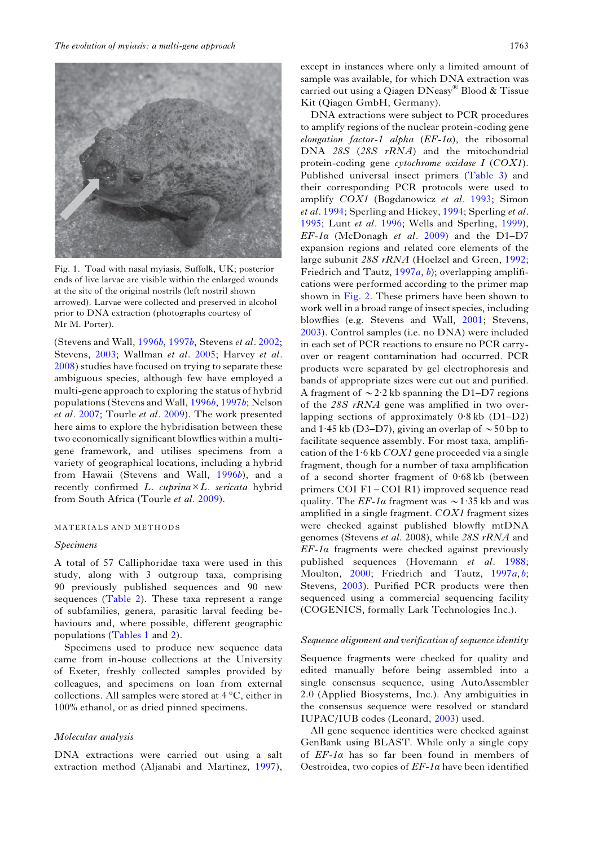<span id="page-3-0"></span>

Fig. 1. Toad with nasal myiasis, Suffolk, UK; posterior ends of live larvae are visible within the enlarged wounds at the site of the original nostrils (left nostril shown arrowed). Larvae were collected and preserved in alcohol prior to DNA extraction (photographs courtesy of Mr M. Porter).

(Stevens and Wall, [1996](#page-16-0)b, [1997](#page-16-0)b, Stevens et al. [2002](#page-16-0); Stevens, [2003](#page-16-0); Wallman et al. [2005;](#page-16-0) Harvey et al. [2008\)](#page-15-0) studies have focused on trying to separate these ambiguous species, although few have employed a multi-gene approach to exploring the status of hybrid populations (Stevens and Wall, [1996](#page-16-0)b, [1997](#page-16-0)b; Nelson et al. [2007](#page-15-0); Tourle et al. [2009\)](#page-16-0). The work presented here aims to explore the hybridisation between these two economically significant blowflies within a multigene framework, and utilises specimens from a variety of geographical locations, including a hybrid from Hawaii (Stevens and Wall, [1996](#page-16-0)b), and a recently confirmed L. cuprina×L. sericata hybrid from South Africa (Tourle et al. [2009\)](#page-16-0).

#### MATERIALS AND METHODS

## Specimens

A total of 57 Calliphoridae taxa were used in this study, along with 3 outgroup taxa, comprising 90 previously published sequences and 90 new sequences ([Table 2\)](#page-5-0). These taxa represent a range of subfamilies, genera, parasitic larval feeding behaviours and, where possible, different geographic populations [\(Tables 1](#page-1-0) and [2](#page-5-0)).

Specimens used to produce new sequence data came from in-house collections at the University of Exeter, freshly collected samples provided by colleagues, and specimens on loan from external collections. All samples were stored at 4 °C, either in 100% ethanol, or as dried pinned specimens.

## Molecular analysis

DNA extractions were carried out using a salt extraction method (Aljanabi and Martinez, [1997\)](#page-14-0),

except in instances where only a limited amount of sample was available, for which DNA extraction was carried out using a Qiagen DNeasy® Blood & Tissue Kit (Qiagen GmbH, Germany).

DNA extractions were subject to PCR procedures to amplify regions of the nuclear protein-coding gene elongation factor-1 alpha  $(EF-1\alpha)$ , the ribosomal DNA 28S (28S rRNA) and the mitochondrial protein-coding gene cytochrome oxidase I (COX1). Published universal insect primers [\(Table 3](#page-6-0)) and their corresponding PCR protocols were used to amplify COX1 (Bogdanowicz et al. [1993;](#page-14-0) Simon et al. [1994](#page-16-0); Sperling and Hickey, 1994; Sperling et al. [1995;](#page-16-0) Lunt et al. [1996;](#page-15-0) Wells and Sperling, [1999\)](#page-16-0),  $EF$ -1a (McDonagh et al. [2009\)](#page-15-0) and the D1-D7 expansion regions and related core elements of the large subunit 28S rRNA (Hoelzel and Green, [1992](#page-15-0); Friedrich and Tautz,  $1997a, b$  $1997a, b$  $1997a, b$ ; overlapping amplifications were performed according to the primer map shown in [Fig. 2.](#page-6-0) These primers have been shown to work well in a broad range of insect species, including blowflies (e.g. Stevens and Wall, [2001;](#page-16-0) Stevens, [2003\)](#page-16-0). Control samples (i.e. no DNA) were included in each set of PCR reactions to ensure no PCR carryover or reagent contamination had occurred. PCR products were separated by gel electrophoresis and bands of appropriate sizes were cut out and purified. A fragment of  $\sim$  2·2 kb spanning the D1–D7 regions of the 28S rRNA gene was amplified in two overlapping sections of approximately 0·8 kb (D1–D2) and 1.45 kb (D3–D7), giving an overlap of  $\sim$  50 bp to facilitate sequence assembly. For most taxa, amplification of the 1.6 kb  $COX1$  gene proceeded via a single fragment, though for a number of taxa amplification of a second shorter fragment of 0·68 kb (between primers COI F1 – COI R1) improved sequence read quality. The  $EF-1\alpha$  fragment was  $\sim 1.35$  kb and was amplified in a single fragment. COX1 fragment sizes were checked against published blowfly mtDNA genomes (Stevens et al. 2008), while 28S rRNA and  $EF$ -1 $\alpha$  fragments were checked against previously published sequences (Hovemann et al. [1988](#page-15-0); Moulton, [2000;](#page-15-0) Friedrich and Tautz, [1997](#page-15-0)a, [b](#page-15-0); Stevens, [2003](#page-16-0)). Purified PCR products were then sequenced using a commercial sequencing facility (COGENICS, formally Lark Technologies Inc.).

## Sequence alignment and verification of sequence identity

Sequence fragments were checked for quality and edited manually before being assembled into a single consensus sequence, using AutoAssembler 2.0 (Applied Biosystems, Inc.). Any ambiguities in the consensus sequence were resolved or standard IUPAC/IUB codes (Leonard, [2003](#page-15-0)) used.

All gene sequence identities were checked against GenBank using BLAST. While only a single copy of  $EF$ -1 $\alpha$  has so far been found in members of Oestroidea, two copies of  $E\mathbf{F-1}\alpha$  have been identified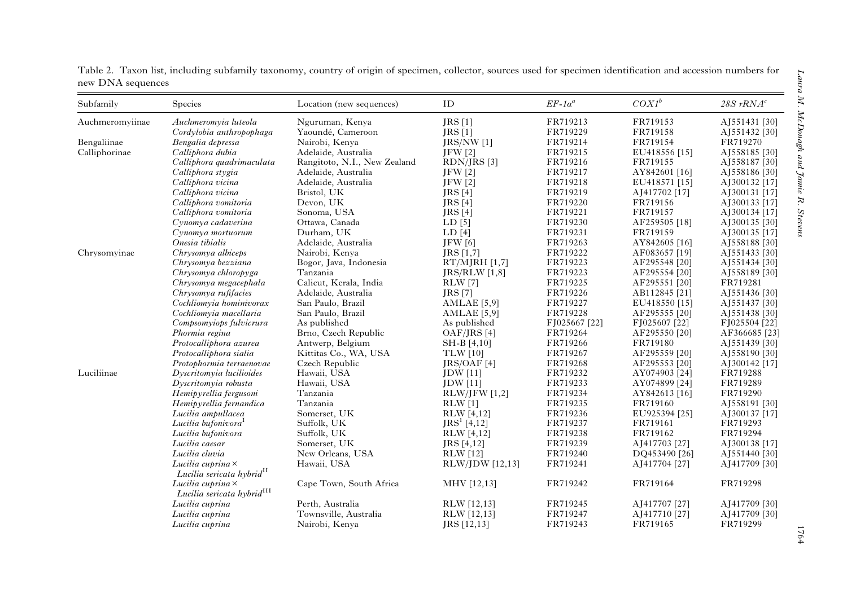| Subfamily       | Species                                                                                              | Location (new sequences)     | ID              | $EF-1\alpha^a$ | $COXI^b$      | 28S $rRNAc$   |
|-----------------|------------------------------------------------------------------------------------------------------|------------------------------|-----------------|----------------|---------------|---------------|
| Auchmeromyiinae | Auchmeromyia luteola                                                                                 | Nguruman, Kenya              | JRS[1]          | FR719213       | FR719153      | AJ551431 [30] |
|                 | Cordylobia anthropophaga                                                                             | Yaoundé, Cameroon            | <b>JRS</b> [1]  | FR719229       | FR719158      | AJ551432 [30] |
| Bengaliinae     | Bengalia depressa                                                                                    | Nairobi, Kenya               | $JRS/NW$ [1]    | FR719214       | FR719154      | FR719270      |
| Calliphorinae   | Calliphora dubia                                                                                     | Adelaide, Australia          | JFW [2]         | FR719215       | EU418556 [15] | AJ558185 [30] |
|                 | Calliphora quadrimaculata                                                                            | Rangitoto, N.I., New Zealand | RDN/JRS [3]     | FR719216       | FR719155      | AJ558187 [30] |
|                 | Calliphora stygia                                                                                    | Adelaide, Australia          | <b>JFW</b> [2]  | FR719217       | AY842601 [16] | AJ558186 [30] |
|                 | Calliphora vicina                                                                                    | Adelaide, Australia          | <b>JFW</b> [2]  | FR719218       | EU418571 [15] | AJ300132 [17] |
|                 | Calliphora vicina                                                                                    | Bristol, UK                  | JRS[4]          | FR719219       | AJ417702 [17] | AJ300131 [17] |
|                 | Calliphora vomitoria                                                                                 | Devon, UK                    | JRS [4]         | FR719220       | FR719156      | AJ300133 [17] |
|                 | Calliphora vomitoria                                                                                 | Sonoma, USA                  | JRS [4]         | FR719221       | FR719157      | AJ300134 [17] |
|                 | Cynomya cadaverina                                                                                   | Ottawa, Canada               | LD[5]           | FR719230       | AF259505 [18] | AJ300135 [30] |
|                 | Cynomya mortuorum                                                                                    | Durham, UK                   | LD[4]           | FR719231       | FR719159      | AJ300135 [17] |
|                 | Onesia tibialis                                                                                      | Adelaide, Australia          | <b>JFW</b> [6]  | FR719263       | AY842605 [16] | AJ558188 [30] |
| Chrysomyinae    | Chrysomya albiceps                                                                                   | Nairobi, Kenya               | JRS [1,7]       | FR719222       | AF083657 [19] | AJ551433 [30] |
|                 | Chrysomya bezziana                                                                                   | Bogor, Java, Indonesia       | $RT/MJRH$ [1,7] | FR719223       | AF295548 [20] | AJ551434 [30] |
|                 | Chrysomya chloropyga                                                                                 | Tanzania                     | JRS/RLW [1,8]   | FR719223       | AF295554 [20] | AJ558189 [30] |
|                 | Chrysomya megacephala                                                                                | Calicut, Kerala, India       | <b>RLW</b> [7]  | FR719225       | AF295551 [20] | FR719281      |
|                 | Chrysomya rufifacies                                                                                 | Adelaide, Australia          | JRS [7]         | FR719226       | AB112845 [21] | AJ551436 [30] |
|                 | Cochliomyia hominivorax                                                                              | San Paulo, Brazil            | AMLAE $[5,9]$   | FR719227       | EU418550 [15] | AJ551437 [30] |
|                 | Cochliomyia macellaria                                                                               | San Paulo, Brazil            | AMLAE $[5,9]$   | FR719228       | AF295555 [20] | AJ551438 [30] |
|                 | Compsomyiops fulvicrura                                                                              | As published                 | As published    | FJ025667 [22]  | FJ025607 [22] | FJ025504 [22] |
|                 | Phormia regina                                                                                       | Brno, Czech Republic         | $OAF/IRS$ [4]   | FR719264       | AF295550 [20] | AF366685 [23] |
|                 | Protocalliphora azurea                                                                               | Antwerp, Belgium             | SH-B [4,10]     | FR719266       | FR719180      | AJ551439 [30] |
|                 | Protocalliphora sialia                                                                               | Kittitas Co., WA, USA        | <b>TLW</b> [10] | FR719267       | AF295559 [20] | AJ558190 [30] |
|                 | Protophormia terraenovae                                                                             | Czech Republic               | $JRS/OAF$ [4]   | FR719268       | AF295553 [20] | AJ300142 [17] |
| Luciliinae      | Dyscritomyia lucilioides                                                                             | Hawaii, USA                  | <b>JDW</b> [11] | FR719232       | AY074903 [24] | FR719288      |
|                 | Dyscritomyia robusta                                                                                 | Hawaii, USA                  | <b>JDW</b> [11] | FR719233       | AY074899 [24] | FR719289      |
|                 | Hemipyrellia fergusoni                                                                               | Tanzania                     | RLW/JFW [1,2]   | FR719234       | AY842613 [16] | FR719290      |
|                 | Hemipyrellia fernandica                                                                              | Tanzania                     | RLW[1]          | FR719235       | FR719160      | AJ558191 [30] |
|                 | Lucilia ampullacea                                                                                   | Somerset, UK                 | RLW [4,12]      | FR719236       | EU925394 [25] | AJ300137 [17] |
|                 | Lucilia bufonivora                                                                                   | Suffolk, UK                  | $JRS1$ [4,12]   | FR719237       | FR719161      | FR719293      |
|                 | Lucilia bufonivora                                                                                   | Suffolk, UK                  | RLW [4,12]      | FR719238       | FR719162      | FR719294      |
|                 | Lucilia caesar                                                                                       | Somerset, UK                 | JRS [4,12]      | FR719239       | AJ417703 [27] | AJ300138 [17] |
|                 | Lucilia cluvia                                                                                       | New Orleans, USA             | <b>RLW</b> [12] | FR719240       | DQ453490 [26] | AJ551440 [30] |
|                 | Lucilia cuprina ×                                                                                    | Hawaii, USA                  | RLW/JDW [12,13] | FR719241       | AJ417704 [27] | AJ417709 [30] |
|                 | Lucilia sericata hybrid <sup>II</sup><br>Lucilia cuprina ×<br>Lucilia sericata hybrid <sup>III</sup> | Cape Town, South Africa      | MHV [12,13]     | FR719242       | FR719164      | FR719298      |
|                 | Lucilia cuprina                                                                                      | Perth, Australia             | RLW [12,13]     | FR719245       | AJ417707 [27] |               |
|                 |                                                                                                      |                              |                 | FR719247       |               | AJ417709 [30] |
|                 | Lucilia cuprina                                                                                      | Townsville, Australia        | RLW [12,13]     |                | AJ417710 [27] | AJ417709 [30] |
|                 | Lucilia cuprina                                                                                      | Nairobi, Kenya               | JRS [12,13]     | FR719243       | FR719165      | FR719299      |

Table 2. Taxon list, including subfamily taxonomy, country of origin of specimen, collector, sources used for specimen identi fication and accession numbers for new DNA sequences

1764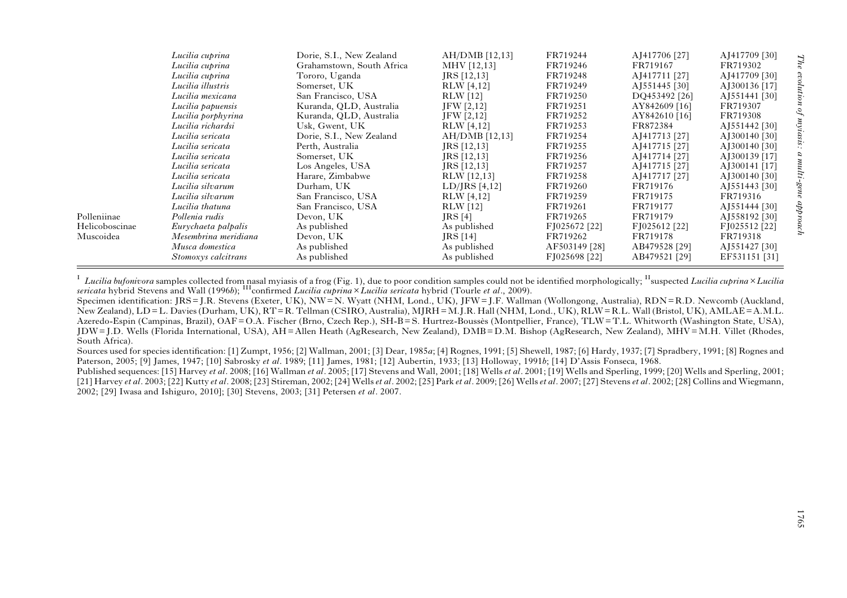<span id="page-5-0"></span>

|                | Lucilia cuprina      | Dorie, S.I., New Zealand  | $AH/DMB$ [12,13]  | FR719244      | AJ417706 [27]             | AJ417709 [30] |  |
|----------------|----------------------|---------------------------|-------------------|---------------|---------------------------|---------------|--|
|                | Lucilia cuprina      | Grahamstown, South Africa | MHV [12,13]       | FR719246      | FR719167                  | FR719302      |  |
|                | Lucilia cuprina      | Tororo, Uganda            | JRS [12,13]       | FR719248      | AJ417711 [27]             | AJ417709 [30] |  |
|                | Lucilia illustris    | Somerset, UK              | <b>RLW</b> [4,12] | FR719249      | A <sub>1551445</sub> [30] | AJ300136 [17] |  |
|                | Lucilia mexicana     | San Francisco, USA        | <b>RLW</b> [12]   | FR719250      | DQ453492 [26]             | AJ551441 [30] |  |
|                | Lucilia papuensis    | Kuranda, QLD, Australia   | JFW [2, 12]       | FR719251      | AY842609 [16]             | FR719307      |  |
|                | Lucilia porphyrina   | Kuranda, QLD, Australia   | JFW [2,12]        | FR719252      | AY842610 [16]             | FR719308      |  |
|                | Lucilia richardsi    | Usk, Gwent, UK            | RLW [4,12]        | FR719253      | FR872384                  | AJ551442 [30] |  |
|                | Lucilia sericata     | Dorie, S.I., New Zealand  | $AH/DMB$ [12,13]  | FR719254      | AJ417713 [27]             | AJ300140 [30] |  |
|                | Lucilia sericata     | Perth, Australia          | JRS [12,13]       | FR719255      | AJ417715 [27]             | AJ300140 [30] |  |
|                | Lucilia sericata     | Somerset, UK              | $JRS$ [12,13]     | FR719256      | AJ417714 [27]             | AJ300139 [17] |  |
|                | Lucilia sericata     | Los Angeles, USA          | $JRS$ [12,13]     | FR719257      | AJ417715 [27]             | AJ300141 [17] |  |
|                | Lucilia sericata     | Harare, Zimbabwe          | RLW [12,13]       | FR719258      | AJ417717 [27]             | AJ300140 [30] |  |
|                | Lucilia silvarum     | Durham, UK                | $LD/IRS$ [4,12]   | FR719260      | FR719176                  | AJ551443 [30] |  |
|                | Lucilia silvarum     | San Francisco, USA        | <b>RLW</b> [4,12] | FR719259      | FR719175                  | FR719316      |  |
|                | Lucilia thatuna      | San Francisco, USA        | <b>RLW</b> [12]   | FR719261      | FR719177                  | AJ551444 [30] |  |
| Polleniinae    | Pollenia rudis       | Devon, UK                 | JRS [4]           | FR719265      | FR719179                  | AJ558192 [30] |  |
| Helicoboscinae | Eurychaeta palpalis  | As published              | As published      | FJ025672 [22] | FJ025612 [22]             | FJ025512 [22] |  |
| Muscoidea      | Mesembrina meridiana | Devon, UK                 | JRS [14]          | FR719262      | FR719178                  | FR719318      |  |
|                | Musca domestica      | As published              | As published      | AF503149 [28] | AB479528 [29]             | AJ551427 [30] |  |
|                | Stomoxys calcitrans  | As published              | As published      | FJ025698 [22] | AB479521 [29]             | EF531151 [31] |  |

I Lucilia bufonivora samples collected from nasal myiasis of a frog (Fig. 1), due to poor condition samples could not be identified morphologically; <sup>H</sup>suspected Lucilia cuprina × Lucilia sericata hybrid Stevens and Wall (1996b); <sup>III</sup>confirmed *Lucilia cuprina×Lucilia sericata* hybrid (Tourle et al., 2009).

Specimen identification: JRS= J.R. Stevens (Exeter, UK), NW=N. Wyatt (NHM, Lond., UK), JFW= J.F. Wallman (Wollongong, Australia), RDN=R.D. Newcomb (Auckland, New Zealand), LD=L. Davies (Durham, UK), RT= R. Tellman (CSIRO, Australia), MJRH=M.J.R. Hall (NHM, Lond., UK), RLW=R.L. Wall (Bristol, UK), AMLAE=A.M.L. Azeredo-Espin (Campinas, Brazil), OAF=O.A. Fischer (Brno, Czech Rep.), SH-B= S. Hurtrez-Boussès (Montpellier, France), TLW=T.L. Whitworth (Washington State, USA), JDW= J.D. Wells (Florida International, USA), AH= Allen Heath (AgResearch, New Zealand), DMB=D.M. Bishop (AgResearch, New Zealand), MHV=M.H. Villet (Rhodes, South Africa).

Sources used for species identification: [1] Zumpt, 1956; [2] Wallman, 2001; [3] Dear, 1985<sup>a</sup>; [4] Rognes, 1991; [5] Shewell, 1987; [6] Hardy, 1937; [7] Spradbery, 1991; [8] Rognes and Paterson, 2005; [9] James, 1947; [10] Sabrosky et al. 1989; [11] James, 1981; [12] Aubertin, 1933; [13] Holloway, 1991b; [14] D'Assis Fonseca, 1968.

Published sequences: [15] Harvey et al. 2008; [16] Wallman et al. 2005; [17] Stevens and Wall, 2001; [18] Wells et al. 2001; [19] Wells and Sperling, 1999; [20] Wells and Sperling, 2001; [21] Harvey et al. 2003; [22] Kutty et al. 2008; [23] Stireman, 2002; [24] Wells et al. 2002; [25] Park et al. 2009; [26] Wells et al. 2007; [27] Stevens et al. 2002; [28] Collins and Wiegmann, 2002; [29] Iwasa and Ishiguro, 2010]; [30] Stevens, 2003; [31] Petersen et al. 2007.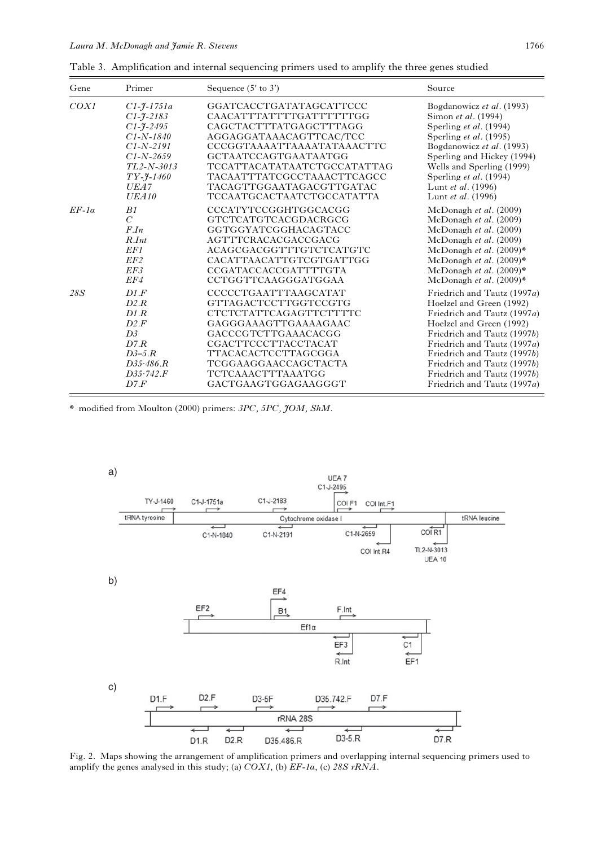| Gene         | Primer                     | Sequence $(5'$ to $3')$     | Source                          |
|--------------|----------------------------|-----------------------------|---------------------------------|
| COX1         | $C1 - \frac{9}{7} - 1751a$ | GGATCACCTGATATAGCATTCCC     | Bogdanowicz et al. (1993)       |
|              | $C1 - \frac{9}{2} - 2183$  | CAACATTTATTTTGATTTTTTGG     | Simon et al. (1994)             |
|              | $C1 - \frac{9}{2} - 2495$  | CAGCTACTTTATGAGCTTTAGG      | Sperling et al. (1994)          |
|              | $C1 - N - 1840$            | AGGAGGATAAACAGTTCAC/TCC     | Sperling et al. (1995)          |
|              | $C1-N-2191$                | CCCGGTAAAATTAAAATATAAACTTC  | Bogdanowicz et al. (1993)       |
|              | $C1 - N - 2659$            | <b>GCTAATCCAGTGAATAATGG</b> | Sperling and Hickey (1994)      |
|              | $TL2-N-3013$               | TCCATTACATATAATCTGCCATATTAG | Wells and Sperling (1999)       |
|              | $TY - 7 - 1460$            | TACAATTTATCGCCTAAACTTCAGCC  | Sperling et al. (1994)          |
|              | <i>UEA7</i>                | TACAGTTGGAATAGACGTTGATAC    | Lunt et al. (1996)              |
|              | UEA10                      | TCCAATGCACTAATCTGCCATATTA   | Lunt et al. (1996)              |
| $EF-1\alpha$ | B1                         | CCCATYTCCGGHTGGCACGG        | McDonagh <i>et al.</i> $(2009)$ |
|              | $\overline{C}$             | GTCTCATGTCACGDACRGCG        | McDonagh et al. (2009)          |
|              | $F_{.}In$                  | GGTGGYATCGGHACAGTACC        | McDonagh et al. (2009)          |
|              | $R.$ Int                   | AGTTTCRACACGACCGACG         | McDonagh et al. (2009)          |
|              | EF1                        | ACAGCGACGGTTTGTCTCATGTC     | McDonagh et al. (2009)*         |
|              | EF2                        | CACATTAACATTGTCGTGATTGG     | McDonagh et al. (2009)*         |
|              | EF3                        | CCGATACCACCGATTTTGTA        | McDonagh et al. (2009)*         |
|              | EF4                        | CCTGGTTCAAGGGATGGAA         | McDonagh et al. (2009)*         |
| 28S          | D1.F                       | CCCCCTGAATTTAAGCATAT        | Friedrich and Tautz (1997a)     |
|              | D2.R                       | <b>GTTAGACTCCTTGGTCCGTG</b> | Hoelzel and Green (1992)        |
|              | D1.R                       | CTCTCTATTCAGAGTTCTTTTC      | Friedrich and Tautz (1997a)     |
|              | D2.F                       | GAGGGAAAGTTGAAAAGAAC        | Hoelzel and Green (1992)        |
|              | D3                         | GACCCGTCTTGAAACACGG         | Friedrich and Tautz (1997b)     |
|              | D7.R                       | <b>CGACTTCCCTTACCTACAT</b>  | Friedrich and Tautz (1997a)     |
|              | $D3-5.R$                   | TTACACACTCCTTAGCGGA         | Friedrich and Tautz (1997b)     |
|              | D35.486.R                  | TCGGAAGGAACCAGCTACTA        | Friedrich and Tautz (1997b)     |
|              | D35.742.F                  | <b>TCTCAAACTTTAAATGG</b>    | Friedrich and Tautz (1997b)     |
|              | D7.F                       | GACTGAAGTGGAGAAGGGT         | Friedrich and Tautz (1997a)     |

<span id="page-6-0"></span>Table 3. Amplification and internal sequencing primers used to amplify the three genes studied

\* modified from Moulton (2000) primers: 3PC, 5PC, JOM, ShM.



Fig. 2. Maps showing the arrangement of amplification primers and overlapping internal sequencing primers used to amplify the genes analysed in this study; (a)  $COX1$ , (b)  $EF$ -1a, (c) 28S rRNA.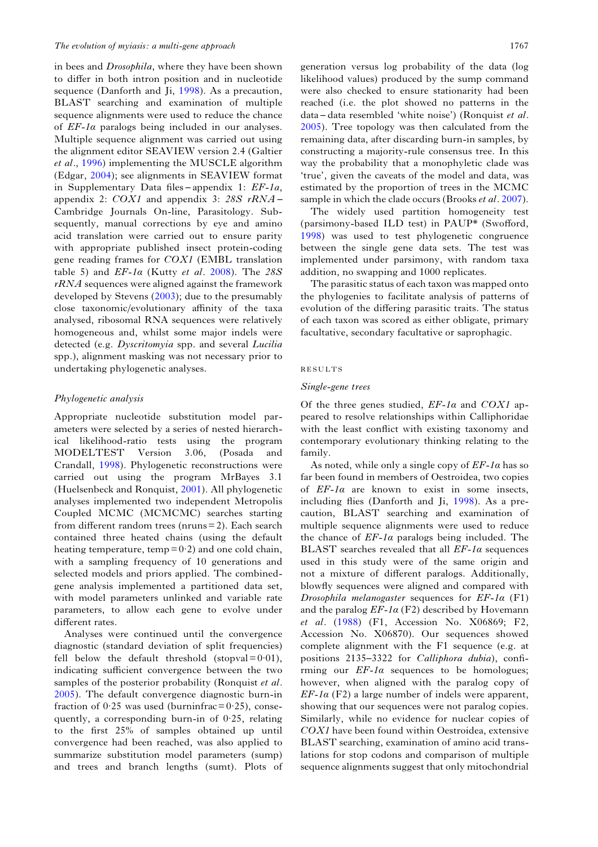in bees and Drosophila, where they have been shown to differ in both intron position and in nucleotide sequence (Danforth and Ji, [1998\)](#page-14-0). As a precaution, BLAST searching and examination of multiple sequence alignments were used to reduce the chance of  $EF$ -1 $\alpha$  paralogs being included in our analyses. Multiple sequence alignment was carried out using the alignment editor SEAVIEW version 2.4 (Galtier et al., [1996\)](#page-15-0) implementing the MUSCLE algorithm (Edgar, [2004\)](#page-14-0); see alignments in SEAVIEW format in Supplementary Data files – appendix 1: EF-1a, appendix 2:  $COX1$  and appendix 3: 28S rRNA – Cambridge Journals On-line, Parasitology. Subsequently, manual corrections by eye and amino acid translation were carried out to ensure parity with appropriate published insect protein-coding gene reading frames for COX1 (EMBL translation table 5) and  $EF$ -1 $\alpha$  (Kutty et al. [2008\)](#page-15-0). The 28S  $rRNA$  sequences were aligned against the framework developed by Stevens ([2003\)](#page-16-0); due to the presumably close taxonomic/evolutionary affinity of the taxa analysed, ribosomal RNA sequences were relatively homogeneous and, whilst some major indels were detected (e.g. Dyscritomyia spp. and several Lucilia spp.), alignment masking was not necessary prior to undertaking phylogenetic analyses.

## Phylogenetic analysis

Appropriate nucleotide substitution model parameters were selected by a series of nested hierarchical likelihood-ratio tests using the program MODELTEST Version 3.06, (Posada and Crandall, [1998](#page-15-0)). Phylogenetic reconstructions were carried out using the program MrBayes 3.1 (Huelsenbeck and Ronquist, [2001\)](#page-15-0). All phylogenetic analyses implemented two independent Metropolis Coupled MCMC (MCMCMC) searches starting from different random trees (nruns = 2). Each search contained three heated chains (using the default heating temperature, temp= $0.2$ ) and one cold chain, with a sampling frequency of 10 generations and selected models and priors applied. The combinedgene analysis implemented a partitioned data set, with model parameters unlinked and variable rate parameters, to allow each gene to evolve under different rates.

Analyses were continued until the convergence diagnostic (standard deviation of split frequencies) fell below the default threshold (stopval= $0.01$ ), indicating sufficient convergence between the two samples of the posterior probability (Ronquist et al. [2005\)](#page-16-0). The default convergence diagnostic burn-in fraction of  $0.25$  was used (burninfrac =  $0.25$ ), consequently, a corresponding burn-in of 0·25, relating to the first 25% of samples obtained up until convergence had been reached, was also applied to summarize substitution model parameters (sump) and trees and branch lengths (sumt). Plots of generation versus log probability of the data (log likelihood values) produced by the sump command were also checked to ensure stationarity had been reached (i.e. the plot showed no patterns in the data – data resembled 'white noise') (Ronquist et al. [2005\)](#page-16-0). Tree topology was then calculated from the remaining data, after discarding burn-in samples, by constructing a majority-rule consensus tree. In this way the probability that a monophyletic clade was 'true', given the caveats of the model and data, was estimated by the proportion of trees in the MCMC sample in which the clade occurs (Brooks *et al.* [2007\)](#page-14-0).

The widely used partition homogeneity test (parsimony-based ILD test) in PAUP\* (Swofford, [1998\)](#page-16-0) was used to test phylogenetic congruence between the single gene data sets. The test was implemented under parsimony, with random taxa addition, no swapping and 1000 replicates.

The parasitic status of each taxon was mapped onto the phylogenies to facilitate analysis of patterns of evolution of the differing parasitic traits. The status of each taxon was scored as either obligate, primary facultative, secondary facultative or saprophagic.

## RESULTS

## Single-gene trees

Of the three genes studied,  $EF$ -1 $\alpha$  and COX1 appeared to resolve relationships within Calliphoridae with the least conflict with existing taxonomy and contemporary evolutionary thinking relating to the family.

As noted, while only a single copy of  $E\mathbf{F}$ -1 $\alpha$  has so far been found in members of Oestroidea, two copies of  $EF-1\alpha$  are known to exist in some insects, including flies (Danforth and Ji, [1998\)](#page-14-0). As a precaution, BLAST searching and examination of multiple sequence alignments were used to reduce the chance of  $EF$ -1 $\alpha$  paralogs being included. The BLAST searches revealed that all  $EF$ -1 $\alpha$  sequences used in this study were of the same origin and not a mixture of different paralogs. Additionally, blowfly sequences were aligned and compared with Drosophila melanogaster sequences for  $EF-1\alpha$  (F1) and the paralog  $EF$ -1 $\alpha$  (F2) described by Hovemann et al. [\(1988](#page-15-0)) (F1, Accession No. X06869; F2, Accession No. X06870). Our sequences showed complete alignment with the F1 sequence (e.g. at positions 2135–3322 for Calliphora dubia), confirming our  $EF$ -1 $\alpha$  sequences to be homologues; however, when aligned with the paralog copy of  $EF-1\alpha$  (F2) a large number of indels were apparent, showing that our sequences were not paralog copies. Similarly, while no evidence for nuclear copies of COX1 have been found within Oestroidea, extensive BLAST searching, examination of amino acid translations for stop codons and comparison of multiple sequence alignments suggest that only mitochondrial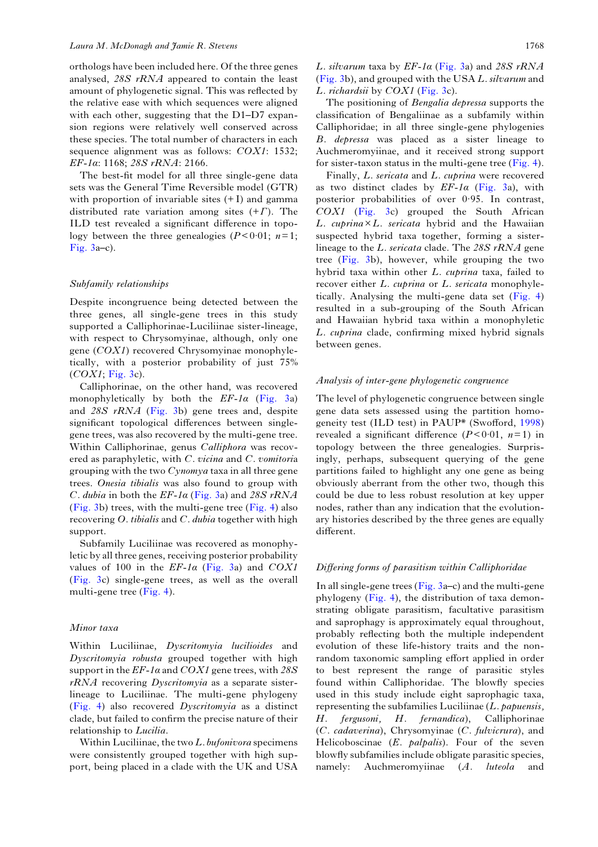orthologs have been included here. Of the three genes analysed, 28S rRNA appeared to contain the least amount of phylogenetic signal. This was reflected by the relative ease with which sequences were aligned with each other, suggesting that the D1–D7 expansion regions were relatively well conserved across these species. The total number of characters in each sequence alignment was as follows: COX1: 1532; EF-1α: 1168; 28S rRNA: 2166.

The best-fit model for all three single-gene data sets was the General Time Reversible model (GTR) with proportion of invariable sites  $(+1)$  and gamma distributed rate variation among sites  $(+\Gamma)$ . The ILD test revealed a significant difference in topology between the three genealogies ( $P < 0.01$ ;  $n=1$ ; [Fig. 3](#page-9-0)a–c).

## Subfamily relationships

Despite incongruence being detected between the three genes, all single-gene trees in this study supported a Calliphorinae-Luciliinae sister-lineage, with respect to Chrysomyinae, although, only one gene (COX1) recovered Chrysomyinae monophyletically, with a posterior probability of just 75%  $(COX1; Fig. 3c).$  $(COX1; Fig. 3c).$  $(COX1; Fig. 3c).$ 

Calliphorinae, on the other hand, was recovered monophyletically by both the  $EF$ -1 $\alpha$  ([Fig. 3](#page-9-0)a) and 28S rRNA [\(Fig. 3](#page-9-0)b) gene trees and, despite significant topological differences between singlegene trees, was also recovered by the multi-gene tree. Within Calliphorinae, genus Calliphora was recovered as paraphyletic, with C. vicina and C. vomitoria grouping with the two  $Cynomva$  taxa in all three gene trees. Onesia tibialis was also found to group with C. dubia in both the  $EF$ -1 $\alpha$  [\(Fig. 3a](#page-9-0)) and 28S rRNA ([Fig. 3b](#page-9-0)) trees, with the multi-gene tree ([Fig. 4\)](#page-12-0) also recovering  $O.$  tibialis and  $C.$  dubia together with high support.

Subfamily Luciliinae was recovered as monophyletic by all three genes, receiving posterior probability values of 100 in the  $EF-1\alpha$  ([Fig. 3](#page-9-0)a) and  $COX1$ ([Fig. 3](#page-9-0)c) single-gene trees, as well as the overall multi-gene tree [\(Fig. 4\)](#page-12-0).

## Minor taxa

Within Luciliinae, Dyscritomyia lucilioides and Dyscritomyia robusta grouped together with high support in the  $EF$ -1 $\alpha$  and  $COX1$  gene trees, with 28S rRNA recovering Dyscritomyia as a separate sisterlineage to Luciliinae. The multi-gene phylogeny ([Fig. 4](#page-12-0)) also recovered Dyscritomyia as a distinct clade, but failed to confirm the precise nature of their relationship to Lucilia.

Within Luciliinae, the two  $L$ . bufonivora specimens were consistently grouped together with high support, being placed in a clade with the UK and USA

L. silvarum taxa by  $EF$ -1 $\alpha$  [\(Fig. 3a](#page-9-0)) and 28S rRNA ([Fig. 3b](#page-9-0)), and grouped with the USA L. silvarum and L. richardsii by COX1 ([Fig. 3c](#page-9-0)).

The positioning of *Bengalia depressa* supports the classification of Bengaliinae as a subfamily within Calliphoridae; in all three single-gene phylogenies B. depressa was placed as a sister lineage to Auchmeromyiinae, and it received strong support for sister-taxon status in the multi-gene tree  $(Fig. 4)$  $(Fig. 4)$ .

Finally, L. sericata and L. cuprina were recovered as two distinct clades by  $EF-1\alpha$  ([Fig. 3a](#page-9-0)), with posterior probabilities of over 0·95. In contrast, COX1 [\(Fig. 3](#page-9-0)c) grouped the South African L. cuprina×L. sericata hybrid and the Hawaiian suspected hybrid taxa together, forming a sisterlineage to the L. sericata clade. The 28S rRNA gene tree ([Fig. 3b](#page-9-0)), however, while grouping the two hybrid taxa within other L. cuprina taxa, failed to recover either L. cuprina or L. sericata monophyletically. Analysing the multi-gene data set [\(Fig. 4\)](#page-12-0) resulted in a sub-grouping of the South African and Hawaiian hybrid taxa within a monophyletic L. cuprina clade, confirming mixed hybrid signals between genes.

## Analysis of inter-gene phylogenetic congruence

The level of phylogenetic congruence between single gene data sets assessed using the partition homogeneity test (ILD test) in PAUP\* (Swofford, [1998\)](#page-16-0) revealed a significant difference  $(P < 0.01, n=1)$  in topology between the three genealogies. Surprisingly, perhaps, subsequent querying of the gene partitions failed to highlight any one gene as being obviously aberrant from the other two, though this could be due to less robust resolution at key upper nodes, rather than any indication that the evolutionary histories described by the three genes are equally different.

## Differing forms of parasitism within Calliphoridae

In all single-gene trees (Fig.  $3a-c$ ) and the multi-gene phylogeny ([Fig. 4](#page-12-0)), the distribution of taxa demonstrating obligate parasitism, facultative parasitism and saprophagy is approximately equal throughout, probably reflecting both the multiple independent evolution of these life-history traits and the nonrandom taxonomic sampling effort applied in order to best represent the range of parasitic styles found within Calliphoridae. The blowfly species used in this study include eight saprophagic taxa, representing the subfamilies Luciliinae  $(L.$  papuensis, H. fergusoni, H. fernandica), Calliphorinae (C. cadaverina), Chrysomyinae (C. fulvicrura), and Helicoboscinae (E. palpalis). Four of the seven blowfly subfamilies include obligate parasitic species, namely: Auchmeromyiinae (A. luteola and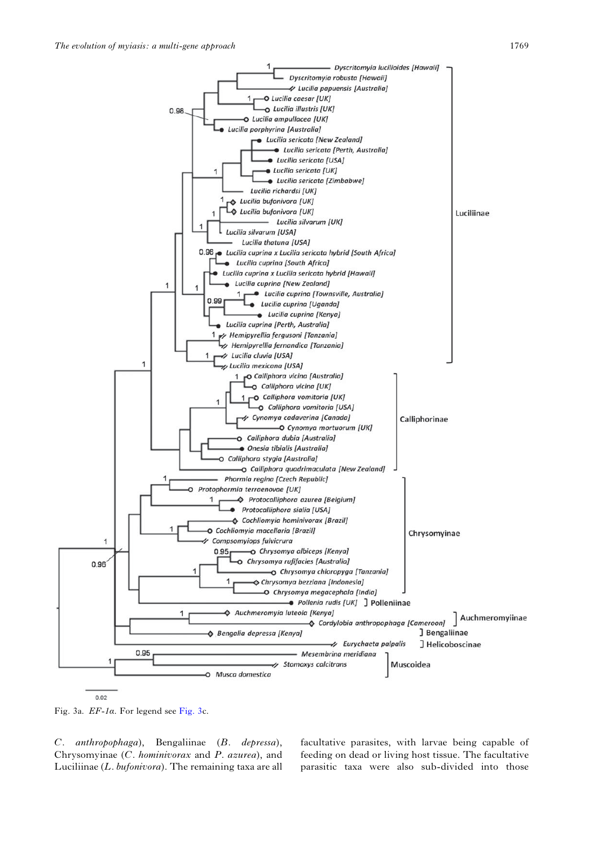<span id="page-9-0"></span>

Fig. 3a. EF-1α. For legend see Fig. 3c.

C. anthropophaga), Bengaliinae (B. depressa), Chrysomyinae (C. hominivorax and P. azurea), and Luciliinae (L. bufonivora). The remaining taxa are all facultative parasites, with larvae being capable of feeding on dead or living host tissue. The facultative parasitic taxa were also sub-divided into those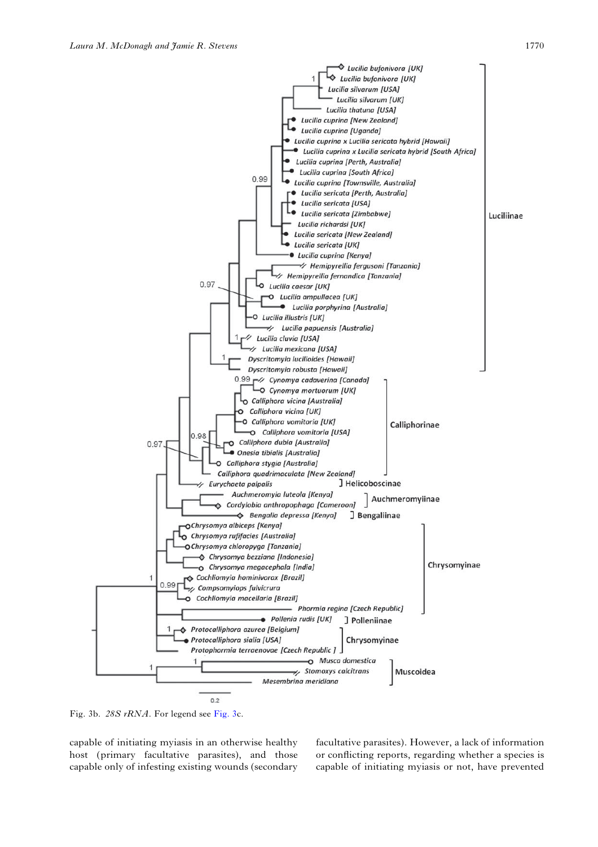

Fig. 3b. 28S rRNA. For legend see Fig. 3c.

capable of initiating myiasis in an otherwise healthy host (primary facultative parasites), and those capable only of infesting existing wounds (secondary

facultative parasites). However, a lack of information or conflicting reports, regarding whether a species is capable of initiating myiasis or not, have prevented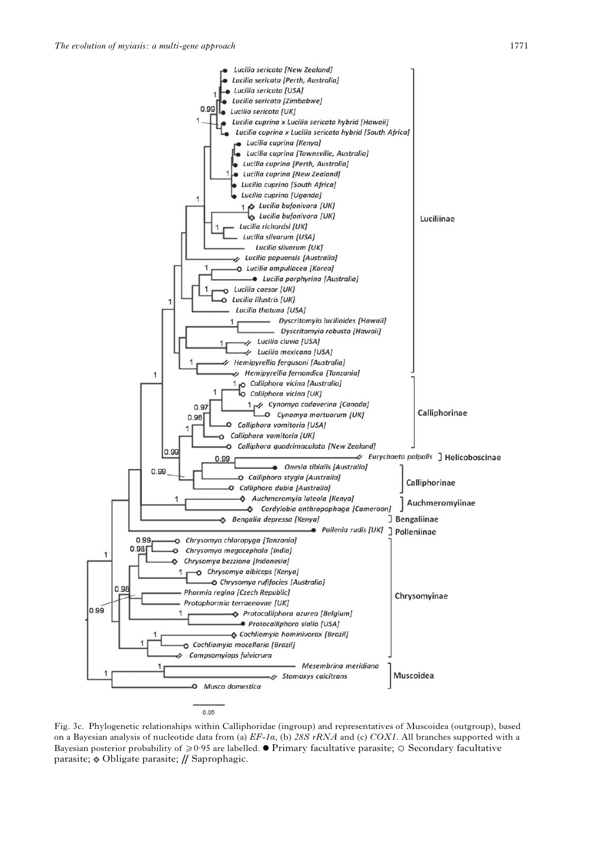

Fig. 3c. Phylogenetic relationships within Calliphoridae (ingroup) and representatives of Muscoidea (outgroup), based on a Bayesian analysis of nucleotide data from (a)  $E_1a$ , (b) 28S rRNA and (c) COX1. All branches supported with a Bayesian posterior probability of  $\geq 0.95$  are labelled.  $\bullet$  Primary facultative parasite;  $\circ$  Secondary facultative parasite;  $\lozenge$  Obligate parasite; // Saprophagic.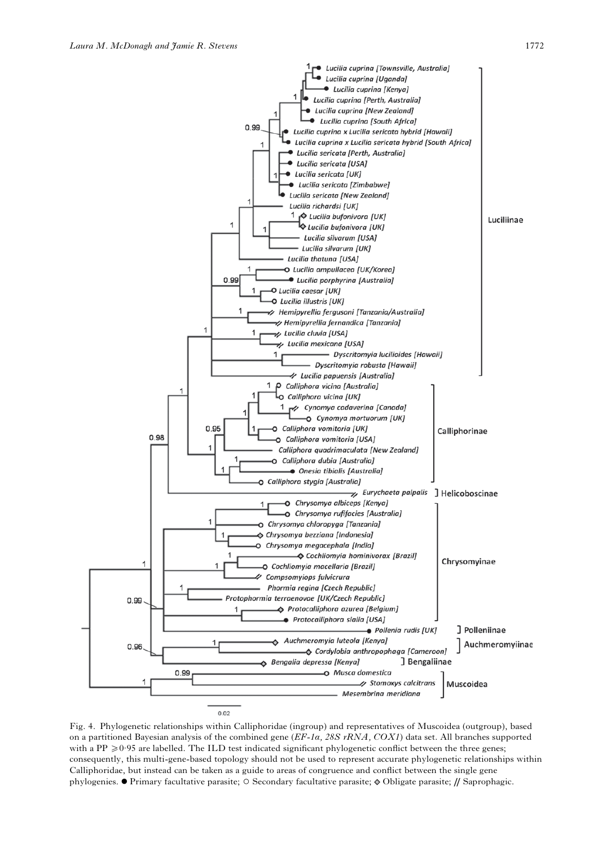<span id="page-12-0"></span>

Fig. 4. Phylogenetic relationships within Calliphoridae (ingroup) and representatives of Muscoidea (outgroup), based on a partitioned Bayesian analysis of the combined gene  $(EF-Ia, 28S rRNA, COXI)$  data set. All branches supported with a PP  $\geq 0.95$  are labelled. The ILD test indicated significant phylogenetic conflict between the three genes; consequently, this multi-gene-based topology should not be used to represent accurate phylogenetic relationships within Calliphoridae, but instead can be taken as a guide to areas of congruence and conflict between the single gene phylogenies. • Primary facultative parasite; ⊙ Secondary facultative parasite;  $\phi$  Obligate parasite; // Saprophagic.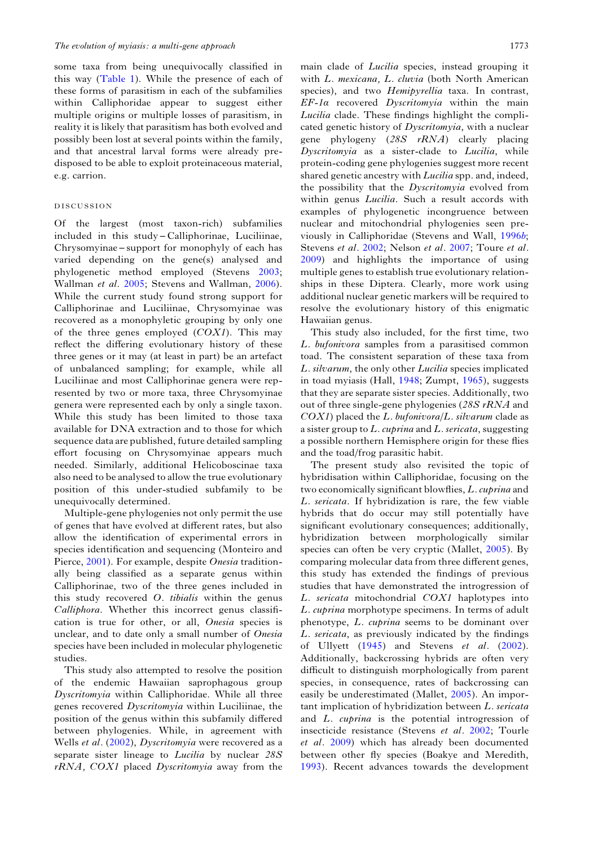some taxa from being unequivocally classified in this way [\(Table 1](#page-1-0)). While the presence of each of these forms of parasitism in each of the subfamilies within Calliphoridae appear to suggest either multiple origins or multiple losses of parasitism, in reality it is likely that parasitism has both evolved and possibly been lost at several points within the family, and that ancestral larval forms were already predisposed to be able to exploit proteinaceous material, e.g. carrion.

## DISCUSSION

Of the largest (most taxon-rich) subfamilies included in this study – Calliphorinae, Luciliinae, Chrysomyinae – support for monophyly of each has varied depending on the gene(s) analysed and phylogenetic method employed (Stevens [2003](#page-16-0); Wallman et al. [2005;](#page-16-0) Stevens and Wallman, [2006\)](#page-16-0). While the current study found strong support for Calliphorinae and Luciliinae, Chrysomyinae was recovered as a monophyletic grouping by only one of the three genes employed  $(COX1)$ . This may reflect the differing evolutionary history of these three genes or it may (at least in part) be an artefact of unbalanced sampling; for example, while all Luciliinae and most Calliphorinae genera were represented by two or more taxa, three Chrysomyinae genera were represented each by only a single taxon. While this study has been limited to those taxa available for DNA extraction and to those for which sequence data are published, future detailed sampling effort focusing on Chrysomyinae appears much needed. Similarly, additional Helicoboscinae taxa also need to be analysed to allow the true evolutionary position of this under-studied subfamily to be unequivocally determined.

Multiple-gene phylogenies not only permit the use of genes that have evolved at different rates, but also allow the identification of experimental errors in species identification and sequencing (Monteiro and Pierce, [2001\)](#page-15-0). For example, despite Onesia traditionally being classified as a separate genus within Calliphorinae, two of the three genes included in this study recovered O. tibialis within the genus Calliphora. Whether this incorrect genus classification is true for other, or all, Onesia species is unclear, and to date only a small number of Onesia species have been included in molecular phylogenetic studies.

This study also attempted to resolve the position of the endemic Hawaiian saprophagous group Dyscritomyia within Calliphoridae. While all three genes recovered Dyscritomyia within Luciliinae, the position of the genus within this subfamily differed between phylogenies. While, in agreement with Wells et al. ([2002\)](#page-16-0), Dyscritomyia were recovered as a separate sister lineage to *Lucilia* by nuclear 28S  $rRNA$ ,  $COX1$  placed *Dyscritomyia* away from the

main clade of *Lucilia* species, instead grouping it with L. mexicana, L. cluvia (both North American species), and two Hemipyrellia taxa. In contrast, EF-1a recovered Dyscritomyia within the main Lucilia clade. These findings highlight the complicated genetic history of Dyscritomyia, with a nuclear gene phylogeny  $(28S \, rRNA)$  clearly placing Dyscritomyia as a sister-clade to Lucilia, while protein-coding gene phylogenies suggest more recent shared genetic ancestry with *Lucilia* spp. and, indeed, the possibility that the *Dyscritomyia* evolved from within genus *Lucilia*. Such a result accords with examples of phylogenetic incongruence between nuclear and mitochondrial phylogenies seen previously in Calliphoridae (Stevens and Wall, [1996](#page-16-0)b; Stevens et al. [2002;](#page-16-0) Nelson et al. [2007;](#page-15-0) Toure et al. [2009\)](#page-16-0) and highlights the importance of using multiple genes to establish true evolutionary relationships in these Diptera. Clearly, more work using additional nuclear genetic markers will be required to resolve the evolutionary history of this enigmatic Hawaiian genus.

This study also included, for the first time, two L. bufonivora samples from a parasitised common toad. The consistent separation of these taxa from L. silvarum, the only other Lucilia species implicated in toad myiasis (Hall, [1948](#page-15-0); Zumpt, [1965\)](#page-17-0), suggests that they are separate sister species. Additionally, two out of three single-gene phylogenies ( $28S$  rRNA and  $COX1$ ) placed the L. bufonivora/L. silvarum clade as a sister group to  $L$ . *cuprina* and  $L$ . *sericata*, suggesting a possible northern Hemisphere origin for these flies and the toad/frog parasitic habit.

The present study also revisited the topic of hybridisation within Calliphoridae, focusing on the two economically significant blowflies, L. cuprina and L. sericata. If hybridization is rare, the few viable hybrids that do occur may still potentially have significant evolutionary consequences; additionally, hybridization between morphologically similar species can often be very cryptic (Mallet, [2005](#page-15-0)). By comparing molecular data from three different genes, this study has extended the findings of previous studies that have demonstrated the introgression of L. sericata mitochondrial COX1 haplotypes into L. cuprina morphotype specimens. In terms of adult phenotype, L. cuprina seems to be dominant over L. sericata, as previously indicated by the findings of Ullyett  $(1945)$  $(1945)$  and Stevens *et al.*  $(2002)$  $(2002)$ . Additionally, backcrossing hybrids are often very difficult to distinguish morphologically from parent species, in consequence, rates of backcrossing can easily be underestimated (Mallet, [2005](#page-15-0)). An important implication of hybridization between L. sericata and L. cuprina is the potential introgression of insecticide resistance (Stevens et al. [2002;](#page-16-0) Tourle et al. [2009](#page-16-0)) which has already been documented between other fly species (Boakye and Meredith, [1993\)](#page-14-0). Recent advances towards the development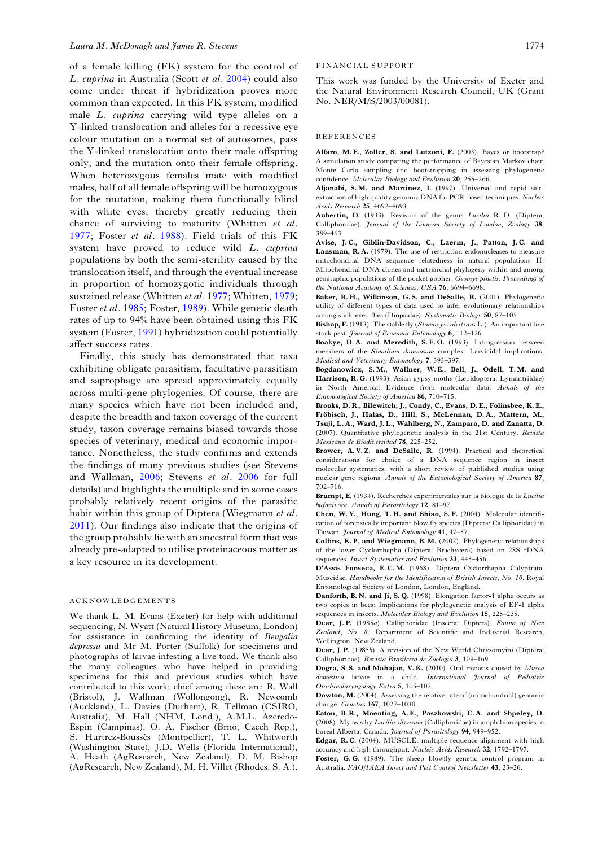<span id="page-14-0"></span>of a female killing (FK) system for the control of L. cuprina in Australia (Scott et al. [2004\)](#page-16-0) could also come under threat if hybridization proves more common than expected. In this FK system, modified male L. cuprina carrying wild type alleles on a Y-linked translocation and alleles for a recessive eye colour mutation on a normal set of autosomes, pass the Y-linked translocation onto their male offspring only, and the mutation onto their female offspring. When heterozygous females mate with modified males, half of all female offspring will be homozygous for the mutation, making them functionally blind with white eyes, thereby greatly reducing their chance of surviving to maturity (Whitten et al. [1977](#page-17-0); Foster et al. [1988](#page-15-0)). Field trials of this FK system have proved to reduce wild L. cuprina populations by both the semi-sterility caused by the translocation itself, and through the eventual increase in proportion of homozygotic individuals through sustained release (Whitten et al. [1977;](#page-17-0) Whitten, [1979](#page-16-0); Foster et al. [1985](#page-15-0); Foster, 1989). While genetic death rates of up to 94% have been obtained using this FK system (Foster, [1991\)](#page-15-0) hybridization could potentially affect success rates.

Finally, this study has demonstrated that taxa exhibiting obligate parasitism, facultative parasitism and saprophagy are spread approximately equally across multi-gene phylogenies. Of course, there are many species which have not been included and, despite the breadth and taxon coverage of the current study, taxon coverage remains biased towards those species of veterinary, medical and economic importance. Nonetheless, the study confirms and extends the findings of many previous studies (see Stevens and Wallman, [2006](#page-16-0); Stevens et al. [2006](#page-16-0) for full details) and highlights the multiple and in some cases probably relatively recent origins of the parasitic habit within this group of Diptera (Wiegmann et al. [2011](#page-17-0)). Our findings also indicate that the origins of the group probably lie with an ancestral form that was already pre-adapted to utilise proteinaceous matter as a key resource in its development.

## ACKNOWLEDGEMENTS

We thank L. M. Evans (Exeter) for help with additional sequencing, N. Wyatt (Natural History Museum, London) for assistance in confirming the identity of Bengalia depressa and Mr M. Porter (Suffolk) for specimens and photographs of larvae infesting a live toad. We thank also the many colleagues who have helped in providing specimens for this and previous studies which have contributed to this work; chief among these are: R. Wall (Bristol), J. Wallman (Wollongong), R. Newcomb (Auckland), L. Davies (Durham), R. Tellman (CSIRO, Australia), M. Hall (NHM, Lond.), A.M.L. Azeredo-Espin (Campinas), O. A. Fischer (Brno, Czech Rep.), S. Hurtrez-Boussès (Montpellier), T. L. Whitworth (Washington State), J.D. Wells (Florida International), A. Heath (AgResearch, New Zealand), D. M. Bishop (AgResearch, New Zealand), M. H. Villet (Rhodes, S. A.).

### FINANCIAL SUPPORT

This work was funded by the University of Exeter and the Natural Environment Research Council, UK (Grant No. NER/M/S/2003/00081).

#### REFERENCES

Alfaro, M. E., Zoller, S. and Lutzoni, F. (2003). Bayes or bootstrap? A simulation study comparing the performance of Bayesian Markov chain Monte Carlo sampling and bootstrapping in assessing phylogenetic confidence. Molecular Biology and Evolution 20, 255–266.

Aljanabi, S. M. and Martinez, I. (1997). Universal and rapid saltextraction of high quality genomic DNA for PCR-based techniques. Nucleic Acids Research 25, 4692–4693.

Aubertin, D. (1933). Revision of the genus Lucilia R.-D. (Diptera, Calliphoridae). Journal of the Linnean Society of London, Zoology 38, 389–463.

Avise, J. C., Giblin-Davidson, C., Laerm, J., Patton, J. C. and Lansman, R.A. (1979). The use of restriction endonucleases to measure mitochondrial DNA sequence relatedness in natural populations II: Mitochondrial DNA clones and matriarchal phylogeny within and among geographic populations of the pocket gopher, Geomys pinetis. Proceedings of the National Academy of Sciences, USA 76, 6694–6698.

Baker, R. H., Wilkinson, G. S. and DeSalle, R. (2001). Phylogenetic utility of different types of data used to infer evolutionary relationships among stalk-eyed flies (Diopsidae). Systematic Biology 50, 87–105.

Bishop, F. (1913). The stable fly (Stomoxys calcitrans L.): An important live stock pest. Journal of Economic Entomology 6, 112-126.

Boakye, D.A. and Meredith, S.E.O. (1993). Introgression between members of the Simulium damnosum complex: Larvicidal implications. Medical and Veterinary Entomology 7, 393–397.

Bogdanowicz, S. M., Wallner, W. E., Bell, J., Odell, T. M. and Harrison, R. G. (1993). Asian gypsy moths (Lepidoptera: Lymantriidae) in North America: Evidence from molecular data. Annals of the Entomological Society of America 86, 710–715.

Brooks, D. R., Bilewitch, J., Condy, C., Evans, D. E., Folinsbee, K. E., Fröbisch, J., Halas, D., Hill, S., McLennan, D. A., Mattern, M., Tsuji, L. A., Ward, J. L., Wahlberg, N., Zamparo, D. and Zanatta, D. (2007). Quantitative phylogenetic analysis in the 21st Century. Revista Mexicana de Biodiversidad 78, 225–252.

Brower, A.V.Z. and DeSalle, R. (1994). Practical and theoretical considerations for choice of a DNA sequence region in insect molecular systematics, with a short review of published studies using nuclear gene regions. Annals of the Entomological Society of America 87, 702–716.

Brumpt, E. (1934). Recherches experimentales sur la biologie de la Lucilia bufonivora. Annals of Parasitology 12, 81–97.

Chen, W. Y., Hung, T. H. and Shiao, S. F. (2004). Molecular identification of forensically important blow fly species (Diptera: Calliphoridae) in Taiwan. Journal of Medical Entomology 41, 47–57.

Collins, K. P. and Wiegmann, B. M. (2002). Phylogenetic relationships of the lower Cyclorrhapha (Diptera: Brachycera) based on 28S rDNA sequences. *Insect Systematics and Evolution* 33, 445–456.

D*'*Assis Fonseca, E. C. M. (1968). Diptera Cyclorrhapha Calyptrata: Muscidae. Handbooks for the Identification of British Insects, No. 10. Royal Entomological Society of London, London, England.

Danforth, B. N. and Ji, S. Q. (1998). Elongation factor-1 alpha occurs as two copies in bees: Implications for phylogenetic analysis of EF-1 alpha sequences in insects. Molecular Biology and Evolution 15, 225–235.

Dear, J.P. (1985a). Calliphoridae (Insecta: Diptera). Fauna of New Zealand, No. 8. Department of Scientific and Industrial Research, Wellington, New Zealand.

Dear, I. P. (1985b). A revision of the New World Chrysomyini (Diptera: Calliphoridae). Revista Brasileira de Zoologia 3, 109–169.

Dogra, S.S. and Mahajan, V.K. (2010). Oral myiasis caused by Musca domestica larvae in a child. International Journal of Pediatric Otorhinolaryngology Extra 5, 105–107.

Dowton, M. (2004). Assessing the relative rate of (mitochondrial) genomic change. Genetics 167, 1027–1030.

Eaton, B. R., Moenting, A. E., Paszkowski, C. A. and Shpeley, D. (2008). Myiasis by Lucilia silvarum (Calliphoridae) in amphibian species in boreal Alberta, Canada. Journal of Parasitology 94, 949–952.

Edgar, R.C. (2004). MUSCLE: multiple sequence alignment with high accuracy and high throughput. Nucleic Acids Research 32, 1792–1797.

Foster, G.G. (1989). The sheep blowfly genetic control program in Australia. FAO/IAEA Insect and Pest Control Newsletter 43, 23–26.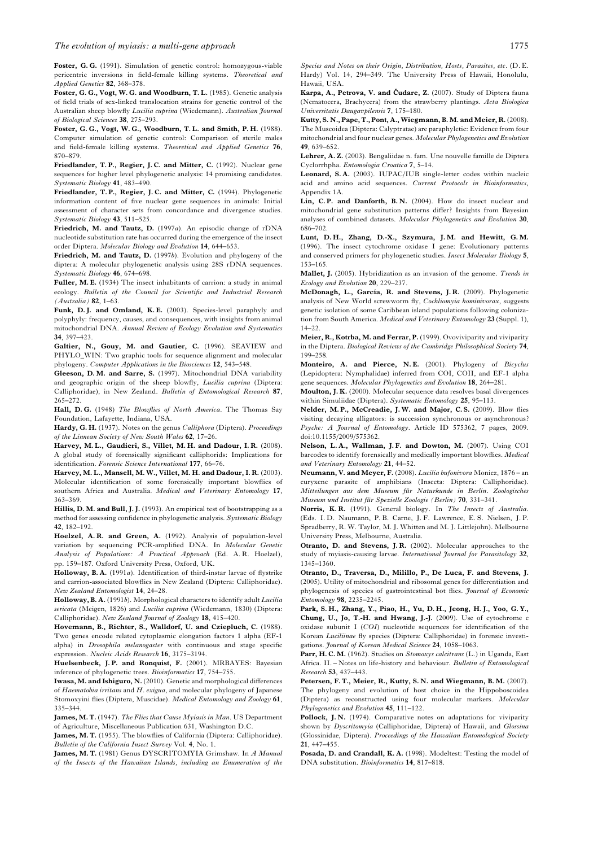<span id="page-15-0"></span>Foster, G. G. (1991). Simulation of genetic control: homozygous-viable pericentric inversions in field-female killing systems. Theoretical and Applied Genetics 82, 368–378.

Foster, G. G., Vogt, W. G. and Woodburn, T. L. (1985). Genetic analysis of field trials of sex-linked translocation strains for genetic control of the Australian sheep blowfly Lucilia cuprina (Wiedemann). Australian Journal of Biological Sciences 38, 275–293.

Foster, G. G., Vogt, W. G., Woodburn, T. L. and Smith, P. H. (1988). Computer simulation of genetic control: Comparison of sterile males and field-female killing systems. Theoretical and Applied Genetics 76, 870–879.

Friedlander, T. P., Regier, J. C. and Mitter, C. (1992). Nuclear gene sequences for higher level phylogenetic analysis: 14 promising candidates. Systematic Biology 41, 483–490.

Friedlander, T.P., Regier, J.C. and Mitter, C. (1994). Phylogenetic information content of five nuclear gene sequences in animals: Initial assessment of character sets from concordance and divergence studies. Systematic Biology 43, 511–525.

Friedrich, M. and Tautz, D. (1997a). An episodic change of rDNA nucleotide substitution rate has occurred during the emergence of the insect order Diptera. Molecular Biology and Evolution 14, 644–653.

Friedrich, M. and Tautz, D. (1997b). Evolution and phylogeny of the diptera: A molecular phylogenetic analysis using 28S rDNA sequences. Systematic Biology 46, 674–698.

Fuller, M. E. (1934) The insect inhabitants of carrion: a study in animal ecology. Bulletin of the Council for Scientific and Industrial Research (Australia) 82, 1–63.

Funk, D.J. and Omland, K.E. (2003). Species-level paraphyly and polyphyly: frequency, causes, and consequences, with insights from animal mitochondrial DNA. Annual Review of Ecology Evolution and Systematics 34, 397–423.

Galtier, N., Gouy, M. and Gautier, C. (1996). SEAVIEW and PHYLO\_WIN: Two graphic tools for sequence alignment and molecular phylogeny. Computer Applications in the Biosciences 12, 543–548.

Gleeson, D. M. and Sarre, S. (1997). Mitochondrial DNA variability and geographic origin of the sheep blowfly, Lucilia cuprina (Diptera: Calliphoridae), in New Zealand. Bulletin of Entomological Research 87, 265–272.

Hall, D. G. (1948) The Blowflies of North America. The Thomas Say Foundation, Lafayette, Indiana, USA.

Hardy, G. H. (1937). Notes on the genus Calliphora (Diptera). Proceedings of the Linnean Society of New South Wales 62, 17–26.

Harvey, M. L., Gaudieri, S., Villet, M. H. and Dadour, I. R. (2008). A global study of forensically significant calliphorids: Implications for identification. Forensic Science International 177, 66–76.

Harvey, M. L., Mansell, M. W., Villet, M. H. and Dadour, I. R. (2003). Molecular identification of some forensically important blowflies of southern Africa and Australia. Medical and Veterinary Entomology 17, 363–369.

Hillis, D. M. and Bull, J. J. (1993). An empirical test of bootstrapping as a method for assessing confidence in phylogenetic analysis. Systematic Biology 42, 182–192.

Hoelzel, A.R. and Green, A. (1992). Analysis of population-level variation by sequencing PCR-amplified DNA. In Molecular Genetic Analysis of Populations: A Practical Approach (Ed. A. R. Hoelzel), pp. 159–187. Oxford University Press, Oxford, UK.

Holloway, B. A. (1991a). Identification of third-instar larvae of flystrike and carrion-associated blowflies in New Zealand (Diptera: Calliphoridae). New Zealand Entomologist 14, 24–28.

Holloway, B. A. (1991b). Morphological characters to identify adult Lucilia sericata (Meigen, 1826) and Lucilia cuprina (Wiedemann, 1830) (Diptera: Calliphoridae). New Zealand Journal of Zoology 18, 415–420.

Hovemann, B., Richter, S., Walldorf, U. and Cziepluch, C. (1988). Two genes encode related cytoplasmic elongation factors 1 alpha (EF-1 alpha) in Drosophila melanogaster with continuous and stage specific expression. Nucleic Acids Research 16, 3175–3194.

Huelsenbeck, J.P. and Ronquist, F. (2001). MRBAYES: Bayesian inference of phylogenetic trees. Bioinformatics 17, 754–755.

Iwasa, M. and Ishiguro, N. (2010). Genetic and morphological differences of Haematobia irritans and  $H$ , exigua, and molecular phylogeny of Japanese Stomoxyini flies (Diptera, Muscidae). Medical Entomology and Zoology 61, 335–344.

James, M. T. (1947). The Flies that Cause Myiasis in Man. US Department of Agriculture, Miscellaneous Publication 631, Washington D.C.

James, M. T. (1955). The blowflies of California (Diptera: Calliphoridae). Bulletin of the California Insect Survey Vol. 4, No. 1.

James, M. T. (1981) Genus DYSCRITOMYIA Grimshaw. In A Manual of the Insects of the Hawaiian Islands, including an Enumeration of the

Species and Notes on their Origin, Distribution, Hosts, Parasites, etc. (D. E. Hardy) Vol. 14, 294–349. The University Press of Hawaii, Honolulu, Hawaii, USA.

Karpa, A., Petrova, V. and Čudare, Z. (2007). Study of Diptera fauna (Nematocera, Brachycera) from the strawberry plantings. Acta Biologica Universitatis Daugavpilensis 7, 175–180.

Kutty, S. N., Pape, T., Pont, A., Wiegmann, B. M. and Meier, R. (2008). The Muscoidea (Diptera: Calyptratae) are paraphyletic: Evidence from four mitochondrial and four nuclear genes. Molecular Phylogenetics and Evolution 49, 639–652.

Lehrer, A. Z. (2003). Bengaliidae n. fam. Une nouvelle famille de Diptera Cyclorrhpha. Entomologia Croatica 7, 5–14.

Leonard, S. A. (2003). IUPAC/IUB single-letter codes within nucleic acid and amino acid sequences. Current Protocols in Bioinformatics, Appendix 1A.

Lin, C. P. and Danforth, B. N. (2004). How do insect nuclear and mitochondrial gene substitution patterns differ? Insights from Bayesian analyses of combined datasets. Molecular Phylogenetics and Evolution 30, 686–702.

Lunt, D. H., Zhang, D.-X., Szymura, J. M. and Hewitt, G. M. (1996). The insect cytochrome oxidase I gene: Evolutionary patterns and conserved primers for phylogenetic studies. Insect Molecular Biology 5, 153–165.

Mallet, J. (2005). Hybridization as an invasion of the genome. Trends in Ecology and Evolution 20, 229–237.

McDonagh, L., García, R. and Stevens, J. R. (2009). Phylogenetic analysis of New World screwworm fly, Cochliomyia hominivorax, suggests genetic isolation of some Caribbean island populations following colonization from South America. Medical and Veterinary Entomology 23 (Suppl. 1),  $14-22$ 

Meier, R., Kotrba, M. and Ferrar, P. (1999). Ovoviviparity and viviparity in the Diptera. Biological Reviews of the Cambridge Philosophical Society 74, 199–258.

Monteiro, A. and Pierce, N. E. (2001). Phylogeny of Bicyclus (Lepidoptera: Nymphalidae) inferred from COI, COII, and EF-1 alpha gene sequences. Molecular Phylogenetics and Evolution 18, 264–281.

Moulton, J. K. (2000). Molecular sequence data resolves basal divergences within Simuliidae (Diptera). Systematic Entomology 25, 95-113.

Nelder, M. P., McCreadie, J. W. and Major, C. S. (2009). Blow flies visiting decaying alligators: is succession synchronous or asynchronous? Psyche: A Journal of Entomology. Article ID 575362, 7 pages, 2009. doi:10.1155/2009/575362.

Nelson, L. A., Wallman, J. F. and Dowton, M. (2007). Using COI barcodes to identify forensically and medically important blowflies. Medical and Veterinary Entomology 21, 44–52.

Neumann, V. and Meyer, F. (2008). Lucilia bufonivora Moniez, 1876 – an euryxene parasite of amphibians (Insecta: Diptera: Calliphoridae). Mitteilungen aus dem Museum für Naturkunde in Berlin. Zoologisches Museum und Institut für Spezielle Zoologie (Berlin) 70, 331–341.

Norris, K. R. (1991). General biology. In The Insects of Australia. (Eds. I. D. Naumann, P. B. Carne, J. F. Lawrence, E. S. Nielsen, J. P. Spradberry, R. W. Taylor, M. J. Whitten and M. J. Littlejohn). Melbourne University Press, Melbourne, Australia.

Otranto, D. and Stevens, J. R. (2002). Molecular approaches to the study of myiasis-causing larvae. International Journal for Parasitology 32, 1345–1360.

Otranto, D., Traversa, D., Milillo, P., De Luca, F. and Stevens, J. (2005). Utility of mitochondrial and ribosomal genes for differentiation and phylogenesis of species of gastrointestinal bot flies. Journal of Economic Entomology 98, 2235–2245.

Park, S. H., Zhang, Y., Piao, H., Yu, D. H., Jeong, H. J., Yoo, G. Y., Chung, U., Jo, T.-H. and Hwang, J.-J. (2009). Use of cytochrome c oxidase subunit I (COI) nucleotide sequences for identification of the Korean Luciliinae fly species (Diptera: Calliphoridae) in forensic investigations. Journal of Korean Medical Science 24, 1058-1063.

Parr, H. C. M. (1962). Studies on Stomoxys calcitrans (L.) in Uganda, East Africa. II. – Notes on life-history and behaviour. Bulletin of Entomological Research 53, 437–443.

Petersen, F. T., Meier, R., Kutty, S. N. and Wiegmann, B. M. (2007). The phylogeny and evolution of host choice in the Hippoboscoidea (Diptera) as reconstructed using four molecular markers. Molecular Phylogenetics and Evolution 45, 111–122.

Pollock, J. N. (1974). Comparative notes on adaptations for viviparity shown by Dyscritomyia (Calliphoridae, Diptera) of Hawaii, and Glossina (Glossinidae, Diptera). Proceedings of the Hawaiian Entomological Society 21, 447–455.

Posada, D. and Crandall, K. A. (1998). Modeltest: Testing the model of DNA substitution. Bioinformatics 14, 817–818.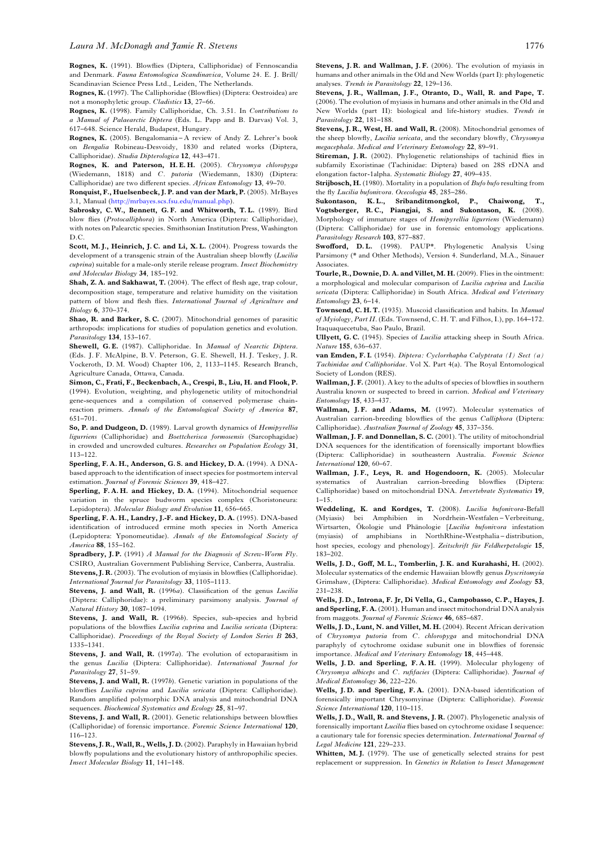<span id="page-16-0"></span>Rognes, K. (1991). Blowflies (Diptera, Calliphoridae) of Fennoscandia and Denmark. Fauna Entomologica Scandinavica, Volume 24. E. J. Brill/ Scandinavian Science Press Ltd., Leiden, The Netherlands.

Rognes, K. (1997). The Calliphoridae (Blowflies) (Diptera: Oestroidea) are not a monophyletic group. Cladistics 13, 27–66.

Rognes, K. (1998). Family Calliphoridae, Ch. 3.51. In Contributions to a Manual of Palaearctic Diptera (Eds. L. Papp and B. Darvas) Vol. 3, 617–648. Science Herald, Budapest, Hungary.

Rognes, K. (2005). Bengalomania – A review of Andy Z. Lehrer's book on Bengalia Robineau-Desvoidy, 1830 and related works (Diptera, Calliphoridae). Studia Dipterologica 12, 443–471.

Rognes, K. and Paterson, H. E. H. (2005). Chrysomya chloropyga (Wiedemann, 1818) and C. putoria (Wiedemann, 1830) (Diptera: Calliphoridae) are two different species. African Entomology 13, 49–70.

Ronquist, F., Huelsenbeck, J. P. and van der Mark, P. (2005). MrBayes 3.1, Manual [\(http://mrbayes.scs.fsu.edu/manual.php\)](http://mrbayes.scs.fsu.edu/manual.php).

Sabrosky, C. W., Bennett, G. F. and Whitworth, T. L. (1989). Bird blow flies (Protocalliphora) in North America (Diptera: Calliphoridae), with notes on Palearctic species. Smithsonian Institution Press, Washington D.C.

Scott, M.J., Heinrich, J.C. and Li, X.L. (2004). Progress towards the development of a transgenic strain of the Australian sheep blowfly (Lucilia cuprina) suitable for a male-only sterile release program. Insect Biochemistry and Molecular Biology 34, 185–192.

Shah, Z. A. and Sakhawat, T. (2004). The effect of flesh age, trap colour, decomposition stage, temperature and relative humidity on the visitation pattern of blow and flesh flies. International Journal of Agriculture and Biology 6, 370–374.

Shao, R. and Barker, S. C. (2007). Mitochondrial genomes of parasitic arthropods: implications for studies of population genetics and evolution. Parasitology 134, 153–167.

Shewell, G.E. (1987). Calliphoridae. In Manual of Nearctic Diptera. (Eds. J. F. McAlpine, B. V. Peterson, G. E. Shewell, H. J. Teskey, J. R. Vockeroth, D. M. Wood) Chapter 106, 2, 1133–1145. Research Branch, Agriculture Canada, Ottawa, Canada.

Simon, C., Frati, F., Beckenbach, A., Crespi, B., Liu, H. and Flook, P. (1994). Evolution, weighting, and phylogenetic utility of mitochondrial gene-sequences and a compilation of conserved polymerase chainreaction primers. Annals of the Entomological Society of America 87, 651–701.

So, P. and Dudgeon, D. (1989). Larval growth dynamics of Hemipyrellia ligurriens (Calliphoridae) and Boettcherisca formosensis (Sarcophagidae) in crowded and uncrowded cultures. Researches on Population Ecology 31, 113–122.

Sperling, F. A. H., Anderson, G. S. and Hickey, D. A. (1994). A DNAbased approach to the identification of insect species for postmortem interval estimation. Journal of Forensic Sciences 39, 418-427.

Sperling, F. A. H. and Hickey, D. A. (1994). Mitochondrial sequence variation in the spruce budworm species complex (Choristoneura: Lepidoptera). Molecular Biology and Evolution 11, 656–665.

Sperling, F. A. H., Landry, J.-F. and Hickey, D. A. (1995). DNA-based identification of introduced ermine moth species in North America (Lepidoptera: Yponomeutidae). Annals of the Entomological Society of America 88, 155–162.

Spradbery, J.P. (1991) A Manual for the Diagnosis of Screw-Worm Fly. CSIRO, Australian Government Publishing Service, Canberra, Australia. Stevens, J. R. (2003). The evolution of myiasis in blowflies (Calliphoridae). International Journal for Parasitology 33, 1105–1113.

Stevens, J. and Wall, R. (1996a). Classification of the genus Lucilia (Diptera: Calliphoridae): a preliminary parsimony analysis. Journal of Natural History 30, 1087–1094.

Stevens, J. and Wall, R. (1996b). Species, sub-species and hybrid populations of the blowflies Lucilia cuprina and Lucilia sericata (Diptera: Calliphoridae). Proceedings of the Royal Society of London Series B 263, 1335–1341.

Stevens, J. and Wall, R. (1997a). The evolution of ectoparasitism in the genus Lucilia (Diptera: Calliphoridae). International Journal for Parasitology 27, 51–59.

Stevens, J. and Wall, R. (1997b). Genetic variation in populations of the blowflies Lucilia cuprina and Lucilia sericata (Diptera: Calliphoridae). Random amplified polymorphic DNA analysis and mitochondrial DNA sequences. Biochemical Systematics and Ecology 25, 81–97.

Stevens, J. and Wall, R. (2001). Genetic relationships between blowflies (Calliphoridae) of forensic importance. Forensic Science International 120, 116–123.

Stevens, J. R., Wall, R., Wells, J. D. (2002). Paraphyly in Hawaiian hybrid blowfly populations and the evolutionary history of anthropophilic species. Insect Molecular Biology 11, 141–148.

Stevens, J. R. and Wallman, J. F. (2006). The evolution of myiasis in humans and other animals in the Old and New Worlds (part I): phylogenetic analyses. Trends in Parasitology 22, 129–136.

Stevens, J. R., Wallman, J. F., Otranto, D., Wall, R. and Pape, T. (2006). The evolution of myiasis in humans and other animals in the Old and New Worlds (part II): biological and life-history studies. Trends in Parasitology 22, 181-188.

Stevens, J. R., West, H. and Wall, R. (2008). Mitochondrial genomes of the sheep blowfly, Lucilia sericata, and the secondary blowfly, Chrysomya megacephala. Medical and Veterinary Entomology 22, 89–91.

Stireman, J. R. (2002). Phylogenetic relationships of tachinid flies in subfamily Exoristinae (Tachinidae: Diptera) based on 28S rDNA and elongation factor-1alpha. Systematic Biology 27, 409–435.

Strijbosch, H. (1980). Mortality in a population of Bufo bufo resulting from the fly Lucilia bufonivora. Ocecologia 45, 285–286.

Sukontason, K. L., Sribanditmongkol, P., Chaiwong, T., Vogtsberger, R. C., Piangjai, S. and Sukontason, K. (2008). Morphology of immature stages of Hemipyrellia ligurriens (Wiedemann) (Diptera: Calliphoridae) for use in forensic entomology applications. Parasitology Research 103, 877–887.

Swofford, D.L. (1998). PAUP\*. Phylogenetic Analysis Using Parsimony (\* and Other Methods), Version 4. Sunderland, M.A., Sinauer **Associates** 

Tourle, R., Downie, D. A. and Villet, M. H. (2009). Flies in the ointment: a morphological and molecular comparison of Lucilia cuprina and Lucilia sericata (Diptera: Calliphoridae) in South Africa. Medical and Veterinary Entomology 23, 6–14.

Townsend, C. H. T. (1935). Muscoid classification and habits. In Manual of Myiology, Part II. (Eds. Townsend, C. H. T. and Filhos, I.), pp. 164–172. Itaquaquecetuba, Sao Paulo, Brazil.

Ullyett, G. C. (1945). Species of Lucilia attacking sheep in South Africa. Nature 155, 636–637.

van Emden, F. I. (1954). Diptera: Cyclorrhapha Calyptrata (I) Sect (a) Tachinidae and Calliphoridae. Vol X. Part 4(a). The Royal Entomological Society of London (RES).

Wallman, J. F. (2001). A key to the adults of species of blowflies in southern Australia known or suspected to breed in carrion. Medical and Veterinary Entomology 15, 433–437.

Wallman, J.F. and Adams, M. (1997). Molecular systematics of Australian carrion-breeding blowflies of the genus Calliphora (Diptera: Calliphoridae). Australian Journal of Zoology 45, 337-356.

Wallman, J. F. and Donnellan, S. C. (2001). The utility of mitochondrial DNA sequences for the identification of forensically important blowflies (Diptera: Calliphoridae) in southeastern Australia. Forensic Science International 120, 60–67.

Wallman, J. F., Leys, R. and Hogendoorn, K. (2005). Molecular systematics of Australian carrion-breeding blowflies (Diptera: Calliphoridae) based on mitochondrial DNA. Invertebrate Systematics 19,  $1-15$ .

Weddeling, K. and Kordges, T. (2008). Lucilia bufonivora-Befall (Myiasis) bei Amphibien in Nordrhein-Westfalen – Verbreitung, Wirtsarten, Ökologie und Phänologie [Lucilia bufonivora infestation (myiasis) of amphibians in NorthRhine-Westphalia – distribution, host species, ecology and phenology]. Zeitschrift für Feldherpetologie 15, 183–202.

Wells, J. D., Goff, M. L., Tomberlin, J. K. and Kurahashi, H. (2002). Molecular systematics of the endemic Hawaiian blowfly genus Dyscritomyia Grimshaw, (Diptera: Calliphoridae). Medical Entomology and Zoology 53, 231–238.

Wells, J. D., Introna, F. Jr, Di Vella, G., Campobasso, C. P., Hayes, J. and Sperling, F. A. (2001). Human and insect mitochondrial DNA analysis from maggots. *Journal of Forensic Science* 46, 685-687.

Wells, J. D., Lunt, N. and Villet, M. H. (2004). Recent African derivation of Chrysomya putoria from C. chloropyga and mitochondrial DNA paraphyly of cytochrome oxidase subunit one in blowflies of forensic importance. Medical and Veterinary Entomology 18, 445–448.

Wells, J.D. and Sperling, F.A.H. (1999). Molecular phylogeny of Chrysomya albiceps and C. rufifacies (Diptera: Calliphoridae). Journal of Medical Entomology 36, 222–226.

Wells, J. D. and Sperling, F. A. (2001). DNA-based identification of forensically important Chrysomyinae (Diptera: Calliphoridae). Forensic Science International 120, 110–115.

Wells, J. D., Wall, R. and Stevens, J. R. (2007). Phylogenetic analysis of forensically important Lucilia flies based on cytochrome oxidase I sequence: a cautionary tale for forensic species determination. International Yournal of Legal Medicine 121, 229–233.

Whitten, M.J. (1979). The use of genetically selected strains for pest replacement or suppression. In Genetics in Relation to Insect Management